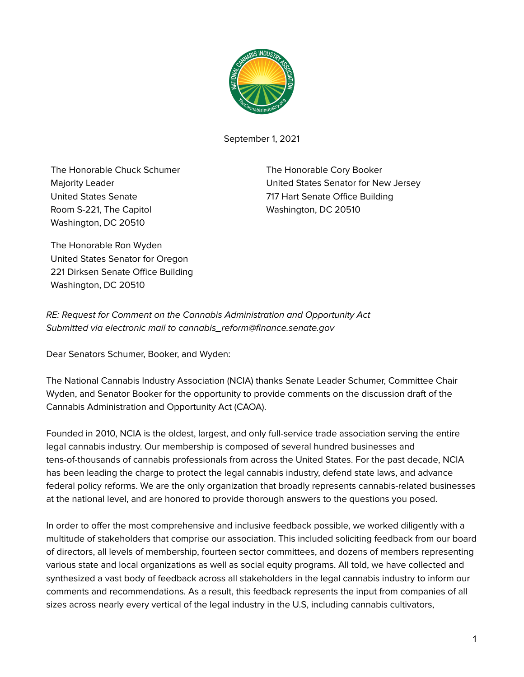

September 1, 2021

The Honorable Chuck Schumer Majority Leader United States Senate Room S-221, The Capitol Washington, DC 20510

The Honorable Cory Booker United States Senator for New Jersey 717 Hart Senate Office Building Washington, DC 20510

The Honorable Ron Wyden United States Senator for Oregon 221 Dirksen Senate Office Building Washington, DC 20510

RE: Request for Comment on the Cannabis Administration and Opportunity Act Submitted via electronic mail to cannabis\_reform@finance.senate.gov

Dear Senators Schumer, Booker, and Wyden:

The National Cannabis Industry Association (NCIA) thanks Senate Leader Schumer, Committee Chair Wyden, and Senator Booker for the opportunity to provide comments on the discussion draft of the Cannabis Administration and Opportunity Act (CAOA).

Founded in 2010, NCIA is the oldest, largest, and only full-service trade association serving the entire legal cannabis industry. Our membership is composed of several hundred businesses and tens-of-thousands of cannabis professionals from across the United States. For the past decade, NCIA has been leading the charge to protect the legal cannabis industry, defend state laws, and advance federal policy reforms. We are the only organization that broadly represents cannabis-related businesses at the national level, and are honored to provide thorough answers to the questions you posed.

In order to offer the most comprehensive and inclusive feedback possible, we worked diligently with a multitude of stakeholders that comprise our association. This included soliciting feedback from our board of directors, all levels of membership, fourteen sector committees, and dozens of members representing various state and local organizations as well as social equity programs. All told, we have collected and synthesized a vast body of feedback across all stakeholders in the legal cannabis industry to inform our comments and recommendations. As a result, this feedback represents the input from companies of all sizes across nearly every vertical of the legal industry in the U.S, including cannabis cultivators,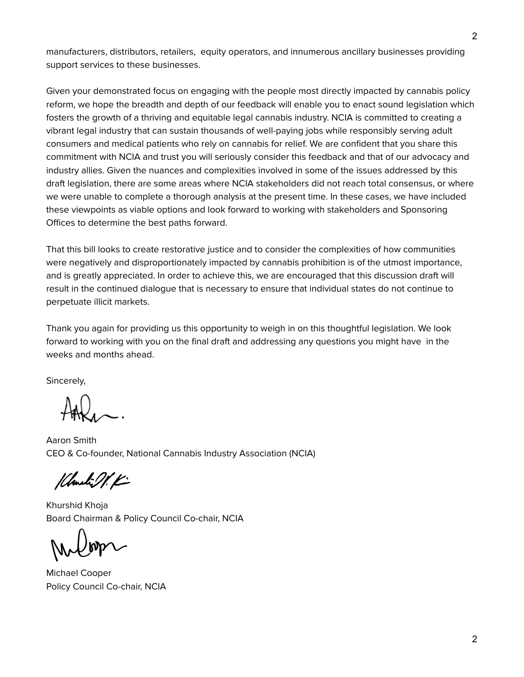manufacturers, distributors, retailers, equity operators, and innumerous ancillary businesses providing support services to these businesses.

Given your demonstrated focus on engaging with the people most directly impacted by cannabis policy reform, we hope the breadth and depth of our feedback will enable you to enact sound legislation which fosters the growth of a thriving and equitable legal cannabis industry. NCIA is committed to creating a vibrant legal industry that can sustain thousands of well-paying jobs while responsibly serving adult consumers and medical patients who rely on cannabis for relief. We are confident that you share this commitment with NCIA and trust you will seriously consider this feedback and that of our advocacy and industry allies. Given the nuances and complexities involved in some of the issues addressed by this draft legislation, there are some areas where NCIA stakeholders did not reach total consensus, or where we were unable to complete a thorough analysis at the present time. In these cases, we have included these viewpoints as viable options and look forward to working with stakeholders and Sponsoring Offices to determine the best paths forward.

That this bill looks to create restorative justice and to consider the complexities of how communities were negatively and disproportionately impacted by cannabis prohibition is of the utmost importance, and is greatly appreciated. In order to achieve this, we are encouraged that this discussion draft will result in the continued dialogue that is necessary to ensure that individual states do not continue to perpetuate illicit markets.

Thank you again for providing us this opportunity to weigh in on this thoughtful legislation. We look forward to working with you on the final draft and addressing any questions you might have in the weeks and months ahead.

Sincerely,

Aaron Smith CEO & Co-founder, National Cannabis Industry Association (NCIA)

Klanki OV. K

Khurshid Khoja Board Chairman & Policy Council Co-chair, NCIA

Michael Cooper Policy Council Co-chair, NCIA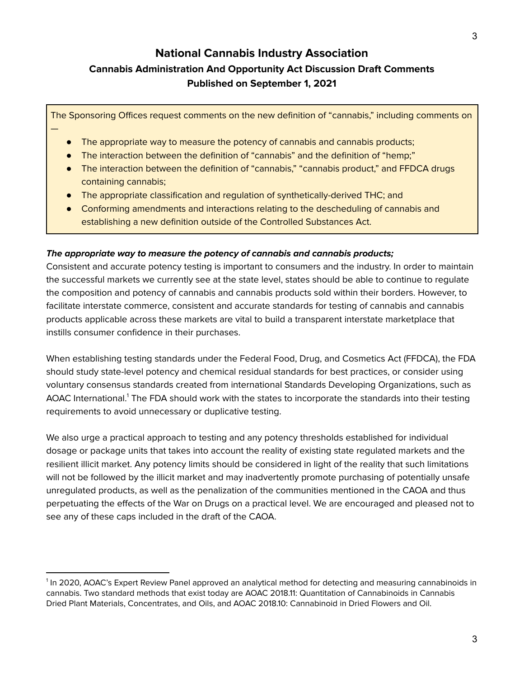# **National Cannabis Industry Association Cannabis Administration And Opportunity Act Discussion Draft Comments Published on September 1, 2021**

The Sponsoring Offices request comments on the new definition of "cannabis," including comments on

The appropriate way to measure the potency of cannabis and cannabis products;

—

- The interaction between the definition of "cannabis" and the definition of "hemp;"
- The interaction between the definition of "cannabis," "cannabis product," and FFDCA drugs containing cannabis;
- The appropriate classification and regulation of synthetically-derived THC; and
- Conforming amendments and interactions relating to the descheduling of cannabis and establishing a new definition outside of the Controlled Substances Act.

#### **The appropriate way to measure the potency of cannabis and cannabis products;**

Consistent and accurate potency testing is important to consumers and the industry. In order to maintain the successful markets we currently see at the state level, states should be able to continue to regulate the composition and potency of cannabis and cannabis products sold within their borders. However, to facilitate interstate commerce, consistent and accurate standards for testing of cannabis and cannabis products applicable across these markets are vital to build a transparent interstate marketplace that instills consumer confidence in their purchases.

When establishing testing standards under the Federal Food, Drug, and Cosmetics Act (FFDCA), the FDA should study state-level potency and chemical residual standards for best practices, or consider using voluntary consensus standards created from international Standards Developing Organizations, such as AOAC International.<sup>1</sup> The FDA should work with the states to incorporate the standards into their testing requirements to avoid unnecessary or duplicative testing.

We also urge a practical approach to testing and any potency thresholds established for individual dosage or package units that takes into account the reality of existing state regulated markets and the resilient illicit market. Any potency limits should be considered in light of the reality that such limitations will not be followed by the illicit market and may inadvertently promote purchasing of potentially unsafe unregulated products, as well as the penalization of the communities mentioned in the CAOA and thus perpetuating the effects of the War on Drugs on a practical level. We are encouraged and pleased not to see any of these caps included in the draft of the CAOA.

<sup>&</sup>lt;sup>1</sup> In 2020, AOAC's Expert Review Panel approved an analytical method for detecting and measuring cannabinoids in cannabis. Two standard methods that exist today are AOAC 2018.11: Quantitation of Cannabinoids in Cannabis Dried Plant Materials, Concentrates, and Oils, and AOAC 2018.10: Cannabinoid in Dried Flowers and Oil.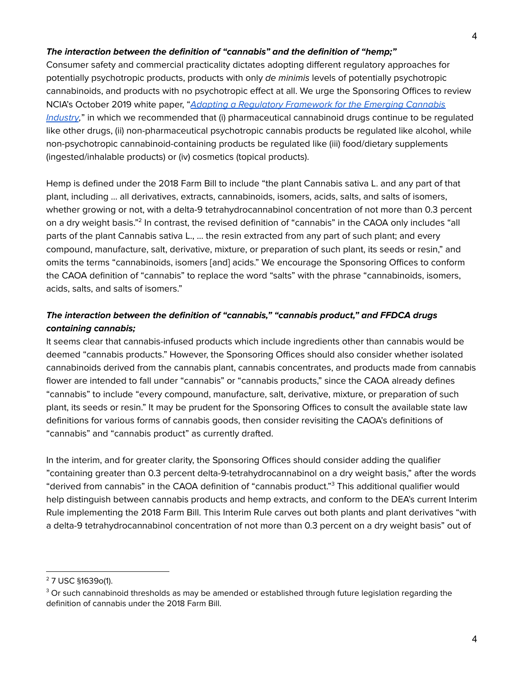#### **The interaction between the definition of "cannabis" and the definition of "hemp;"**

Consumer safety and commercial practicality dictates adopting different regulatory approaches for potentially psychotropic products, products with only de minimis levels of potentially psychotropic cannabinoids, and products with no psychotropic effect at all. We urge the Sponsoring Offices to review NCIA's October 2019 white paper, "Adapting a Regulatory [Framework](https://thecannabisindustry.org/wp-content/uploads/2019/09/RegulatoryFramework-WhitePaper-Final-9.30-2.pdf) for the Emerging Cannabis [Industry](https://thecannabisindustry.org/wp-content/uploads/2019/09/RegulatoryFramework-WhitePaper-Final-9.30-2.pdf)," in which we recommended that (i) pharmaceutical cannabinoid drugs continue to be regulated like other drugs, (ii) non-pharmaceutical psychotropic cannabis products be regulated like alcohol, while non-psychotropic cannabinoid-containing products be regulated like (iii) food/dietary supplements (ingested/inhalable products) or (iv) cosmetics (topical products).

Hemp is defined under the 2018 Farm Bill to include "the plant Cannabis sativa L. and any part of that plant, including … all derivatives, extracts, cannabinoids, isomers, acids, salts, and salts of isomers, whether growing or not, with a delta-9 tetrahydrocannabinol concentration of not more than 0.3 percent on a dry weight basis."<sup>2</sup> In contrast, the revised definition of "cannabis" in the CAOA only includes "all parts of the plant Cannabis sativa L., … the resin extracted from any part of such plant; and every compound, manufacture, salt, derivative, mixture, or preparation of such plant, its seeds or resin," and omits the terms "cannabinoids, isomers [and] acids." We encourage the Sponsoring Offices to conform the CAOA definition of "cannabis" to replace the word "salts" with the phrase "cannabinoids, isomers, acids, salts, and salts of isomers."

## **The interaction between the definition of "cannabis," "cannabis product," and FFDCA drugs containing cannabis;**

It seems clear that cannabis-infused products which include ingredients other than cannabis would be deemed "cannabis products." However, the Sponsoring Offices should also consider whether isolated cannabinoids derived from the cannabis plant, cannabis concentrates, and products made from cannabis flower are intended to fall under "cannabis" or "cannabis products," since the CAOA already defines "cannabis" to include "every compound, manufacture, salt, derivative, mixture, or preparation of such plant, its seeds or resin." It may be prudent for the Sponsoring Offices to consult the available state law definitions for various forms of cannabis goods, then consider revisiting the CAOA's definitions of "cannabis" and "cannabis product" as currently drafted.

In the interim, and for greater clarity, the Sponsoring Offices should consider adding the qualifier "containing greater than 0.3 percent delta-9-tetrahydrocannabinol on a dry weight basis," after the words "derived from cannabis" in the CAOA definition of "cannabis product." <sup>3</sup> This additional qualifier would help distinguish between cannabis products and hemp extracts, and conform to the DEA's current Interim Rule implementing the 2018 Farm Bill. This Interim Rule carves out both plants and plant derivatives "with a delta-9 tetrahydrocannabinol concentration of not more than 0.3 percent on a dry weight basis" out of

<sup>2</sup> 7 USC §1639o(1).

 $3$  Or such cannabinoid thresholds as may be amended or established through future legislation regarding the definition of cannabis under the 2018 Farm Bill.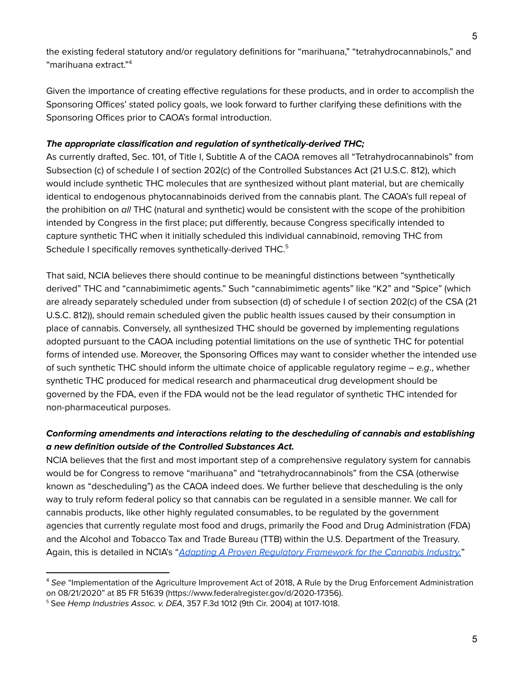the existing federal statutory and/or regulatory definitions for "marihuana," "tetrahydrocannabinols," and "marihuana extract." 4

Given the importance of creating effective regulations for these products, and in order to accomplish the Sponsoring Offices' stated policy goals, we look forward to further clarifying these definitions with the Sponsoring Offices prior to CAOA's formal introduction.

#### **The appropriate classification and regulation of synthetically-derived THC;**

As currently drafted, Sec. 101, of Title I, Subtitle A of the CAOA removes all "Tetrahydrocannabinols" from Subsection (c) of schedule I of section 202(c) of the Controlled Substances Act (21 U.S.C. 812), which would include synthetic THC molecules that are synthesized without plant material, but are chemically identical to endogenous phytocannabinoids derived from the cannabis plant. The CAOA's full repeal of the prohibition on all THC (natural and synthetic) would be consistent with the scope of the prohibition intended by Congress in the first place; put differently, because Congress specifically intended to capture synthetic THC when it initially scheduled this individual cannabinoid, removing THC from Schedule I specifically removes synthetically-derived THC.<sup>5</sup>

That said, NCIA believes there should continue to be meaningful distinctions between "synthetically derived" THC and "cannabimimetic agents." Such "cannabimimetic agents" like "K2" and "Spice" (which are already separately scheduled under from subsection (d) of schedule I of section 202(c) of the CSA (21 U.S.C. 812)), should remain scheduled given the public health issues caused by their consumption in place of cannabis. Conversely, all synthesized THC should be governed by implementing regulations adopted pursuant to the CAOA including potential limitations on the use of synthetic THC for potential forms of intended use. Moreover, the Sponsoring Offices may want to consider whether the intended use of such synthetic THC should inform the ultimate choice of applicable regulatory regime  $-e.g.,$  whether synthetic THC produced for medical research and pharmaceutical drug development should be governed by the FDA, even if the FDA would not be the lead regulator of synthetic THC intended for non-pharmaceutical purposes.

## **Conforming amendments and interactions relating to the descheduling of cannabis and establishing a new definition outside of the Controlled Substances Act.**

NCIA believes that the first and most important step of a comprehensive regulatory system for cannabis would be for Congress to remove "marihuana" and "tetrahydrocannabinols" from the CSA (otherwise known as "descheduling") as the CAOA indeed does. We further believe that descheduling is the only way to truly reform federal policy so that cannabis can be regulated in a sensible manner. We call for cannabis products, like other highly regulated consumables, to be regulated by the government agencies that currently regulate most food and drugs, primarily the Food and Drug Administration (FDA) and the Alcohol and Tobacco Tax and Trade Bureau (TTB) within the U.S. Department of the Treasury. Again, this is detailed in NCIA's "Adapting A Proven Regulatory [Framework](https://thecannabisindustry.org/wp-content/uploads/2019/09/RegulatoryFramework-WhitePaper-Final-9.30-2.pdf) for the Cannabis Industry."

<sup>&</sup>lt;sup>4</sup> See "Implementation of the Agriculture Improvement Act of 2018, A Rule by the Drug Enforcement Administration on 08/21/2020" at 85 FR 51639 (https://www.federalregister.gov/d/2020-17356).

<sup>5</sup> See Hemp Industries Assoc. v. DEA, 357 F.3d 1012 (9th Cir. 2004) at 1017-1018.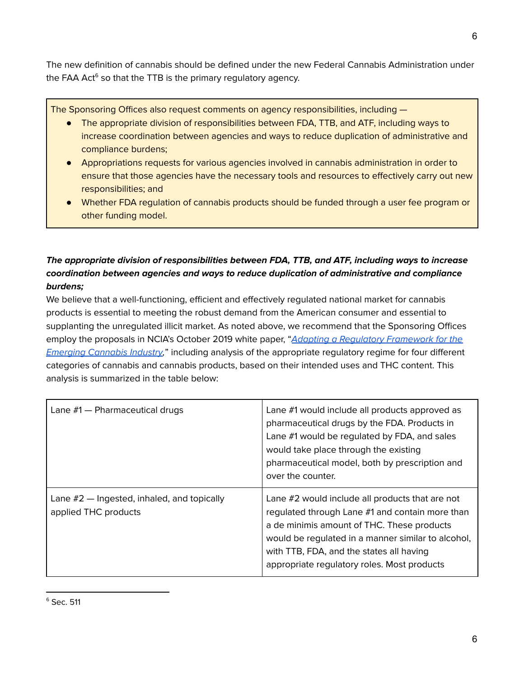The new definition of cannabis should be defined under the new Federal Cannabis Administration under the FAA Act<sup>6</sup> so that the TTB is the primary regulatory agency.

The Sponsoring Offices also request comments on agency responsibilities, including —

- The appropriate division of responsibilities between FDA, TTB, and ATF, including ways to increase coordination between agencies and ways to reduce duplication of administrative and compliance burdens;
- Appropriations requests for various agencies involved in cannabis administration in order to ensure that those agencies have the necessary tools and resources to effectively carry out new responsibilities; and
- Whether FDA regulation of cannabis products should be funded through a user fee program or other funding model.

## **The appropriate division of responsibilities between FDA, TTB, and ATF, including ways to increase coordination between agencies and ways to reduce duplication of administrative and compliance burdens;**

We believe that a well-functioning, efficient and effectively regulated national market for cannabis products is essential to meeting the robust demand from the American consumer and essential to supplanting the unregulated illicit market. As noted above, we recommend that the Sponsoring Offices employ the proposals in NCIA's October 2019 white paper, "Adapting a Regulatory [Framework](https://thecannabisindustry.org/wp-content/uploads/2019/09/RegulatoryFramework-WhitePaper-Final-9.30-2.pdf) for the [Emerging](https://thecannabisindustry.org/wp-content/uploads/2019/09/RegulatoryFramework-WhitePaper-Final-9.30-2.pdf) Cannabis Industry," including analysis of the appropriate regulatory regime for four different categories of cannabis and cannabis products, based on their intended uses and THC content. This analysis is summarized in the table below:

| Lane $#1$ $-$ Pharmaceutical drugs                                   | Lane #1 would include all products approved as<br>pharmaceutical drugs by the FDA. Products in<br>Lane #1 would be regulated by FDA, and sales<br>would take place through the existing<br>pharmaceutical model, both by prescription and<br>over the counter.                                    |
|----------------------------------------------------------------------|---------------------------------------------------------------------------------------------------------------------------------------------------------------------------------------------------------------------------------------------------------------------------------------------------|
| Lane $#2$ — Ingested, inhaled, and topically<br>applied THC products | Lane #2 would include all products that are not<br>regulated through Lane #1 and contain more than<br>a de minimis amount of THC. These products<br>would be regulated in a manner similar to alcohol,<br>with TTB, FDA, and the states all having<br>appropriate regulatory roles. Most products |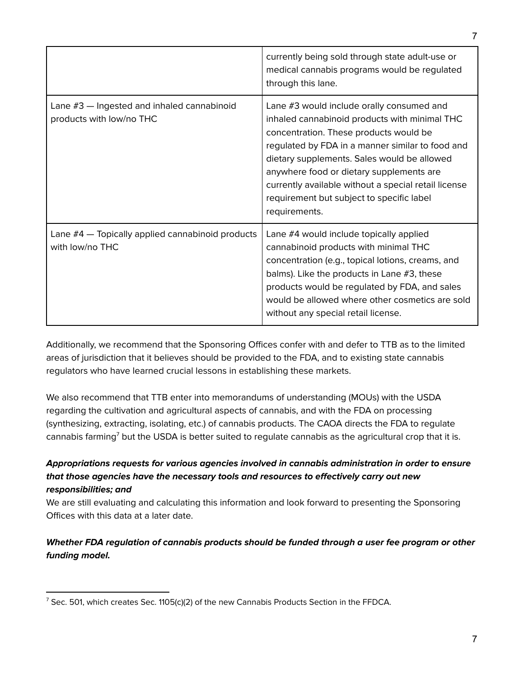|                                                                            | currently being sold through state adult-use or<br>medical cannabis programs would be regulated<br>through this lane.                                                                                                                                                                                                                                                                                     |
|----------------------------------------------------------------------------|-----------------------------------------------------------------------------------------------------------------------------------------------------------------------------------------------------------------------------------------------------------------------------------------------------------------------------------------------------------------------------------------------------------|
| Lane $#3$ $-$ Ingested and inhaled cannabinoid<br>products with low/no THC | Lane #3 would include orally consumed and<br>inhaled cannabinoid products with minimal THC<br>concentration. These products would be<br>regulated by FDA in a manner similar to food and<br>dietary supplements. Sales would be allowed<br>anywhere food or dietary supplements are<br>currently available without a special retail license<br>requirement but subject to specific label<br>requirements. |
| Lane #4 - Topically applied cannabinoid products<br>with low/no THC        | Lane #4 would include topically applied<br>cannabinoid products with minimal THC<br>concentration (e.g., topical lotions, creams, and<br>balms). Like the products in Lane #3, these<br>products would be regulated by FDA, and sales<br>would be allowed where other cosmetics are sold<br>without any special retail license.                                                                           |

Additionally, we recommend that the Sponsoring Offices confer with and defer to TTB as to the limited areas of jurisdiction that it believes should be provided to the FDA, and to existing state cannabis regulators who have learned crucial lessons in establishing these markets.

We also recommend that TTB enter into memorandums of understanding (MOUs) with the USDA regarding the cultivation and agricultural aspects of cannabis, and with the FDA on processing (synthesizing, extracting, isolating, etc.) of cannabis products. The CAOA directs the FDA to regulate cannabis farming<sup>7</sup> but the USDA is better suited to regulate cannabis as the agricultural crop that it is.

## **Appropriations requests for various agencies involved in cannabis administration in order to ensure that those agencies have the necessary tools and resources to effectively carry out new responsibilities; and**

We are still evaluating and calculating this information and look forward to presenting the Sponsoring Offices with this data at a later date.

## **Whether FDA regulation of cannabis products should be funded through a user fee program or other funding model.**

 $7$  Sec. 501, which creates Sec. 1105(c)(2) of the new Cannabis Products Section in the FFDCA.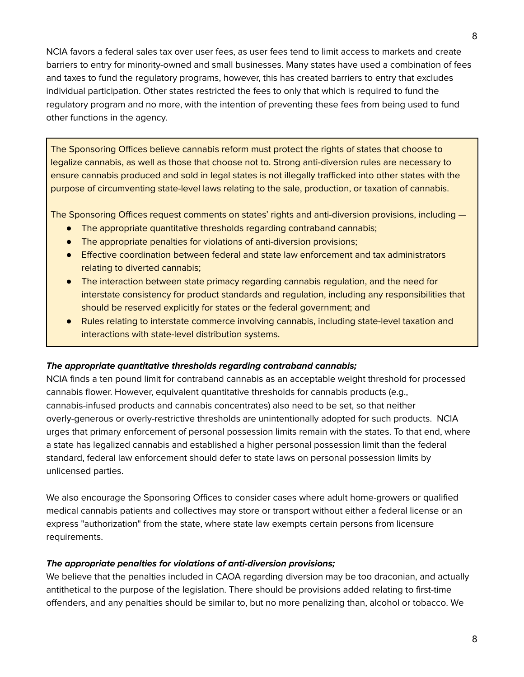NCIA favors a federal sales tax over user fees, as user fees tend to limit access to markets and create barriers to entry for minority-owned and small businesses. Many states have used a combination of fees and taxes to fund the regulatory programs, however, this has created barriers to entry that excludes individual participation. Other states restricted the fees to only that which is required to fund the regulatory program and no more, with the intention of preventing these fees from being used to fund other functions in the agency.

The Sponsoring Offices believe cannabis reform must protect the rights of states that choose to legalize cannabis, as well as those that choose not to. Strong anti-diversion rules are necessary to ensure cannabis produced and sold in legal states is not illegally trafficked into other states with the purpose of circumventing state-level laws relating to the sale, production, or taxation of cannabis.

The Sponsoring Offices request comments on states' rights and anti-diversion provisions, including —

- The appropriate quantitative thresholds regarding contraband cannabis;
- The appropriate penalties for violations of anti-diversion provisions;
- Effective coordination between federal and state law enforcement and tax administrators relating to diverted cannabis;
- The interaction between state primacy regarding cannabis regulation, and the need for interstate consistency for product standards and regulation, including any responsibilities that should be reserved explicitly for states or the federal government; and
- Rules relating to interstate commerce involving cannabis, including state-level taxation and interactions with state-level distribution systems.

#### **The appropriate quantitative thresholds regarding contraband cannabis;**

NCIA finds a ten pound limit for contraband cannabis as an acceptable weight threshold for processed cannabis flower. However, equivalent quantitative thresholds for cannabis products (e.g., cannabis-infused products and cannabis concentrates) also need to be set, so that neither overly-generous or overly-restrictive thresholds are unintentionally adopted for such products. NCIA urges that primary enforcement of personal possession limits remain with the states. To that end, where a state has legalized cannabis and established a higher personal possession limit than the federal standard, federal law enforcement should defer to state laws on personal possession limits by unlicensed parties.

We also encourage the Sponsoring Offices to consider cases where adult home-growers or qualified medical cannabis patients and collectives may store or transport without either a federal license or an express "authorization" from the state, where state law exempts certain persons from licensure requirements.

#### **The appropriate penalties for violations of anti-diversion provisions;**

We believe that the penalties included in CAOA regarding diversion may be too draconian, and actually antithetical to the purpose of the legislation. There should be provisions added relating to first-time offenders, and any penalties should be similar to, but no more penalizing than, alcohol or tobacco. We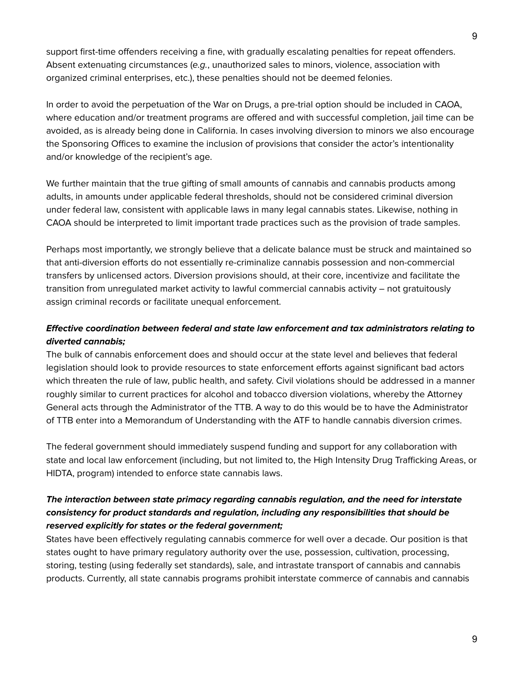support first-time offenders receiving a fine, with gradually escalating penalties for repeat offenders. Absent extenuating circumstances (e.g., unauthorized sales to minors, violence, association with organized criminal enterprises, etc.), these penalties should not be deemed felonies.

In order to avoid the perpetuation of the War on Drugs, a pre-trial option should be included in CAOA, where education and/or treatment programs are offered and with successful completion, jail time can be avoided, as is already being done in California. In cases involving diversion to minors we also encourage the Sponsoring Offices to examine the inclusion of provisions that consider the actor's intentionality and/or knowledge of the recipient's age.

We further maintain that the true gifting of small amounts of cannabis and cannabis products among adults, in amounts under applicable federal thresholds, should not be considered criminal diversion under federal law, consistent with applicable laws in many legal cannabis states. Likewise, nothing in CAOA should be interpreted to limit important trade practices such as the provision of trade samples.

Perhaps most importantly, we strongly believe that a delicate balance must be struck and maintained so that anti-diversion efforts do not essentially re-criminalize cannabis possession and non-commercial transfers by unlicensed actors. Diversion provisions should, at their core, incentivize and facilitate the transition from unregulated market activity to lawful commercial cannabis activity – not gratuitously assign criminal records or facilitate unequal enforcement.

### **Effective coordination between federal and state law enforcement and tax administrators relating to diverted cannabis;**

The bulk of cannabis enforcement does and should occur at the state level and believes that federal legislation should look to provide resources to state enforcement efforts against significant bad actors which threaten the rule of law, public health, and safety. Civil violations should be addressed in a manner roughly similar to current practices for alcohol and tobacco diversion violations, whereby the Attorney General acts through the Administrator of the TTB. A way to do this would be to have the Administrator of TTB enter into a Memorandum of Understanding with the ATF to handle cannabis diversion crimes.

The federal government should immediately suspend funding and support for any collaboration with state and local law enforcement (including, but not limited to, the High Intensity Drug Trafficking Areas, or HIDTA, program) intended to enforce state cannabis laws.

### **The interaction between state primacy regarding cannabis regulation, and the need for interstate consistency for product standards and regulation, including any responsibilities that should be reserved explicitly for states or the federal government;**

States have been effectively regulating cannabis commerce for well over a decade. Our position is that states ought to have primary regulatory authority over the use, possession, cultivation, processing, storing, testing (using federally set standards), sale, and intrastate transport of cannabis and cannabis products. Currently, all state cannabis programs prohibit interstate commerce of cannabis and cannabis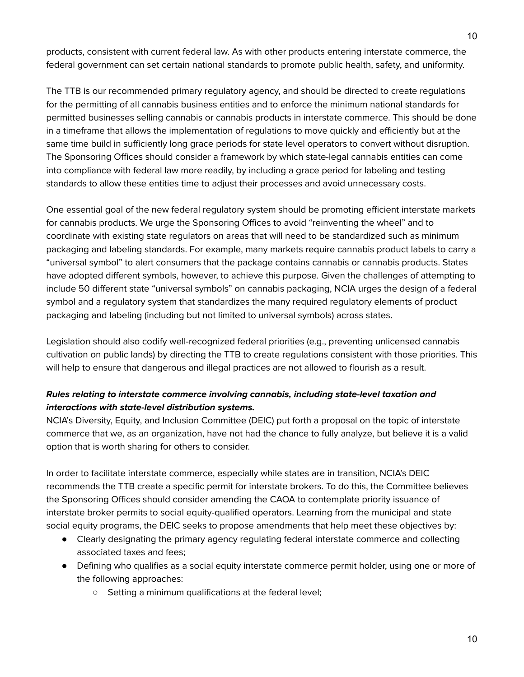products, consistent with current federal law. As with other products entering interstate commerce, the federal government can set certain national standards to promote public health, safety, and uniformity.

The TTB is our recommended primary regulatory agency, and should be directed to create regulations for the permitting of all cannabis business entities and to enforce the minimum national standards for permitted businesses selling cannabis or cannabis products in interstate commerce. This should be done in a timeframe that allows the implementation of regulations to move quickly and efficiently but at the same time build in sufficiently long grace periods for state level operators to convert without disruption. The Sponsoring Offices should consider a framework by which state-legal cannabis entities can come into compliance with federal law more readily, by including a grace period for labeling and testing standards to allow these entities time to adjust their processes and avoid unnecessary costs.

One essential goal of the new federal regulatory system should be promoting efficient interstate markets for cannabis products. We urge the Sponsoring Offices to avoid "reinventing the wheel" and to coordinate with existing state regulators on areas that will need to be standardized such as minimum packaging and labeling standards. For example, many markets require cannabis product labels to carry a "universal symbol" to alert consumers that the package contains cannabis or cannabis products. States have adopted different symbols, however, to achieve this purpose. Given the challenges of attempting to include 50 different state "universal symbols" on cannabis packaging, NCIA urges the design of a federal symbol and a regulatory system that standardizes the many required regulatory elements of product packaging and labeling (including but not limited to universal symbols) across states.

Legislation should also codify well-recognized federal priorities (e.g., preventing unlicensed cannabis cultivation on public lands) by directing the TTB to create regulations consistent with those priorities. This will help to ensure that dangerous and illegal practices are not allowed to flourish as a result.

### **Rules relating to interstate commerce involving cannabis, including state-level taxation and interactions with state-level distribution systems.**

NCIA's Diversity, Equity, and Inclusion Committee (DEIC) put forth a proposal on the topic of interstate commerce that we, as an organization, have not had the chance to fully analyze, but believe it is a valid option that is worth sharing for others to consider.

In order to facilitate interstate commerce, especially while states are in transition, NCIA's DEIC recommends the TTB create a specific permit for interstate brokers. To do this, the Committee believes the Sponsoring Offices should consider amending the CAOA to contemplate priority issuance of interstate broker permits to social equity-qualified operators. Learning from the municipal and state social equity programs, the DEIC seeks to propose amendments that help meet these objectives by:

- Clearly designating the primary agency regulating federal interstate commerce and collecting associated taxes and fees;
- Defining who qualifies as a social equity interstate commerce permit holder, using one or more of the following approaches:
	- Setting a minimum qualifications at the federal level;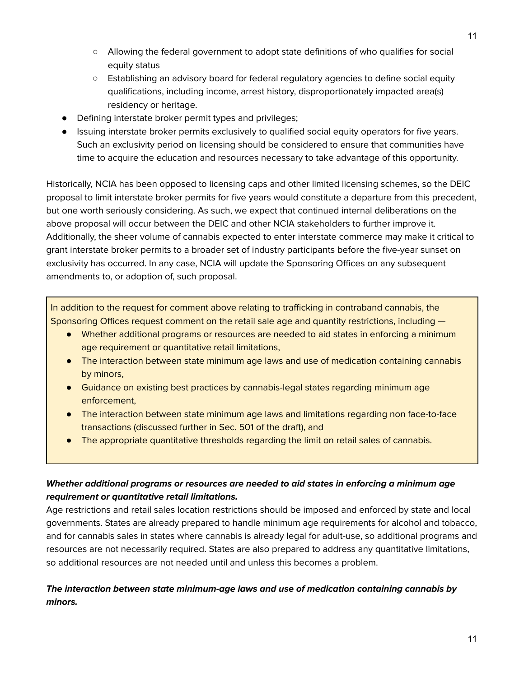- Allowing the federal government to adopt state definitions of who qualifies for social equity status
- Establishing an advisory board for federal regulatory agencies to define social equity qualifications, including income, arrest history, disproportionately impacted area(s) residency or heritage.
- Defining interstate broker permit types and privileges;
- Issuing interstate broker permits exclusively to qualified social equity operators for five years. Such an exclusivity period on licensing should be considered to ensure that communities have time to acquire the education and resources necessary to take advantage of this opportunity.

Historically, NCIA has been opposed to licensing caps and other limited licensing schemes, so the DEIC proposal to limit interstate broker permits for five years would constitute a departure from this precedent, but one worth seriously considering. As such, we expect that continued internal deliberations on the above proposal will occur between the DEIC and other NCIA stakeholders to further improve it. Additionally, the sheer volume of cannabis expected to enter interstate commerce may make it critical to grant interstate broker permits to a broader set of industry participants before the five-year sunset on exclusivity has occurred. In any case, NCIA will update the Sponsoring Offices on any subsequent amendments to, or adoption of, such proposal.

In addition to the request for comment above relating to trafficking in contraband cannabis, the Sponsoring Offices request comment on the retail sale age and quantity restrictions, including —

- Whether additional programs or resources are needed to aid states in enforcing a minimum age requirement or quantitative retail limitations,
- The interaction between state minimum age laws and use of medication containing cannabis by minors,
- Guidance on existing best practices by cannabis-legal states regarding minimum age enforcement,
- The interaction between state minimum age laws and limitations regarding non face-to-face transactions (discussed further in Sec. 501 of the draft), and
- The appropriate quantitative thresholds regarding the limit on retail sales of cannabis.

## **Whether additional programs or resources are needed to aid states in enforcing a minimum age requirement or quantitative retail limitations.**

Age restrictions and retail sales location restrictions should be imposed and enforced by state and local governments. States are already prepared to handle minimum age requirements for alcohol and tobacco, and for cannabis sales in states where cannabis is already legal for adult-use, so additional programs and resources are not necessarily required. States are also prepared to address any quantitative limitations, so additional resources are not needed until and unless this becomes a problem.

## **The interaction between state minimum-age laws and use of medication containing cannabis by minors.**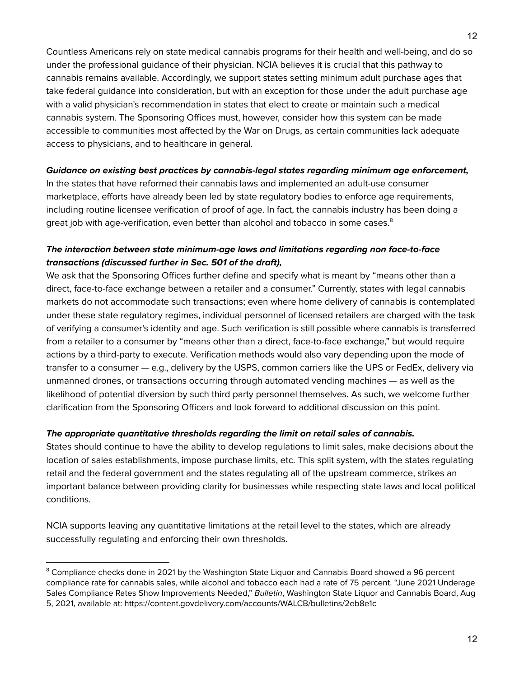Countless Americans rely on state medical cannabis programs for their health and well-being, and do so under the professional guidance of their physician. NCIA believes it is crucial that this pathway to cannabis remains available. Accordingly, we support states setting minimum adult purchase ages that take federal guidance into consideration, but with an exception for those under the adult purchase age with a valid physician's recommendation in states that elect to create or maintain such a medical cannabis system. The Sponsoring Offices must, however, consider how this system can be made accessible to communities most affected by the War on Drugs, as certain communities lack adequate access to physicians, and to healthcare in general.

#### **Guidance on existing best practices by cannabis-legal states regarding minimum age enforcement,**

In the states that have reformed their cannabis laws and implemented an adult-use consumer marketplace, efforts have already been led by state regulatory bodies to enforce age requirements, including routine licensee verification of proof of age. In fact, the cannabis industry has been doing a great job with age-verification, even better than alcohol and tobacco in some cases. $^{\rm 8}$ 

### **The interaction between state minimum-age laws and limitations regarding non face-to-face transactions (discussed further in Sec. 501 of the draft),**

We ask that the Sponsoring Offices further define and specify what is meant by "means other than a direct, face-to-face exchange between a retailer and a consumer." Currently, states with legal cannabis markets do not accommodate such transactions; even where home delivery of cannabis is contemplated under these state regulatory regimes, individual personnel of licensed retailers are charged with the task of verifying a consumer's identity and age. Such verification is still possible where cannabis is transferred from a retailer to a consumer by "means other than a direct, face-to-face exchange," but would require actions by a third-party to execute. Verification methods would also vary depending upon the mode of transfer to a consumer — e.g., delivery by the USPS, common carriers like the UPS or FedEx, delivery via unmanned drones, or transactions occurring through automated vending machines — as well as the likelihood of potential diversion by such third party personnel themselves. As such, we welcome further clarification from the Sponsoring Officers and look forward to additional discussion on this point.

#### **The appropriate quantitative thresholds regarding the limit on retail sales of cannabis.**

States should continue to have the ability to develop regulations to limit sales, make decisions about the location of sales establishments, impose purchase limits, etc. This split system, with the states regulating retail and the federal government and the states regulating all of the upstream commerce, strikes an important balance between providing clarity for businesses while respecting state laws and local political conditions.

NCIA supports leaving any quantitative limitations at the retail level to the states, which are already successfully regulating and enforcing their own thresholds.

<sup>&</sup>lt;sup>8</sup> Compliance checks done in 2021 by the Washington State Liquor and Cannabis Board showed a 96 percent compliance rate for cannabis sales, while alcohol and tobacco each had a rate of 75 percent. "June 2021 Underage Sales Compliance Rates Show Improvements Needed," Bulletin, Washington State Liquor and Cannabis Board, Aug 5, 2021, available at: https://content.govdelivery.com/accounts/WALCB/bulletins/2eb8e1c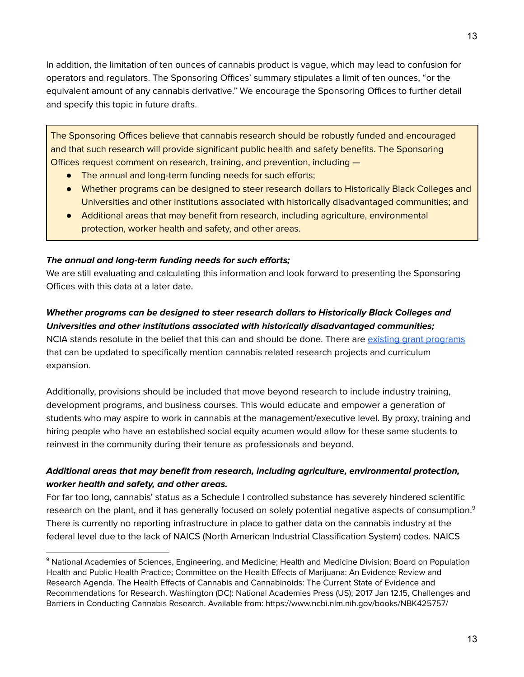In addition, the limitation of ten ounces of cannabis product is vague, which may lead to confusion for operators and regulators. The Sponsoring Offices' summary stipulates a limit of ten ounces, "or the equivalent amount of any cannabis derivative." We encourage the Sponsoring Offices to further detail and specify this topic in future drafts.

The Sponsoring Offices believe that cannabis research should be robustly funded and encouraged and that such research will provide significant public health and safety benefits. The Sponsoring Offices request comment on research, training, and prevention, including —

- The annual and long-term funding needs for such efforts;
- Whether programs can be designed to steer research dollars to Historically Black Colleges and Universities and other institutions associated with historically disadvantaged communities; and
- Additional areas that may benefit from research, including agriculture, environmental protection, worker health and safety, and other areas.

#### **The annual and long-term funding needs for such efforts;**

We are still evaluating and calculating this information and look forward to presenting the Sponsoring Offices with this data at a later date.

#### **Whether programs can be designed to steer research dollars to Historically Black Colleges and Universities and other institutions associated with historically disadvantaged communities;**

NCIA stands resolute in the belief that this can and should be done. There are existing grant [programs](https://www2.ed.gov/programs/iduestitle3b/index.html) that can be updated to specifically mention cannabis related research projects and curriculum expansion.

Additionally, provisions should be included that move beyond research to include industry training, development programs, and business courses. This would educate and empower a generation of students who may aspire to work in cannabis at the management/executive level. By proxy, training and hiring people who have an established social equity acumen would allow for these same students to reinvest in the community during their tenure as professionals and beyond.

## **Additional areas that may benefit from research, including agriculture, environmental protection, worker health and safety, and other areas.**

For far too long, cannabis' status as a Schedule I controlled substance has severely hindered scientific research on the plant, and it has generally focused on solely potential negative aspects of consumption. $^{\rm 9}$ There is currently no reporting infrastructure in place to gather data on the cannabis industry at the federal level due to the lack of NAICS (North American Industrial Classification System) codes. NAICS

<sup>&</sup>lt;sup>9</sup> National Academies of Sciences, Engineering, and Medicine; Health and Medicine Division; Board on Population Health and Public Health Practice; Committee on the Health Effects of Marijuana: An Evidence Review and Research Agenda. The Health Effects of Cannabis and Cannabinoids: The Current State of Evidence and Recommendations for Research. Washington (DC): National Academies Press (US); 2017 Jan 12.15, Challenges and Barriers in Conducting Cannabis Research. Available from: https://www.ncbi.nlm.nih.gov/books/NBK425757/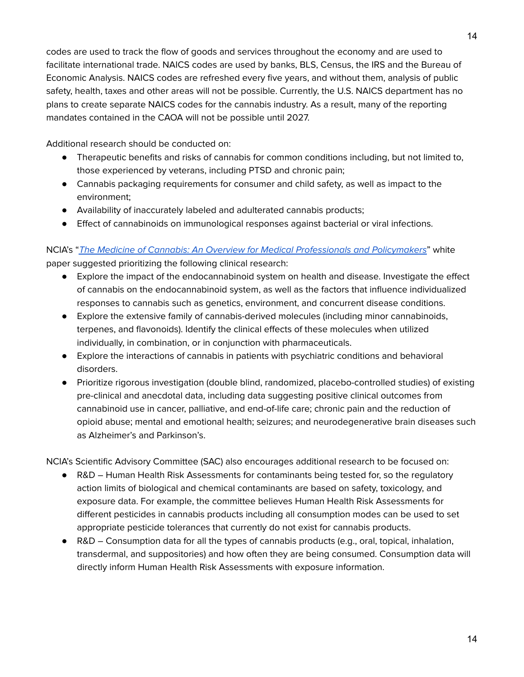codes are used to track the flow of goods and services throughout the economy and are used to facilitate international trade. NAICS codes are used by banks, BLS, Census, the IRS and the Bureau of Economic Analysis. NAICS codes are refreshed every five years, and without them, analysis of public safety, health, taxes and other areas will not be possible. Currently, the U.S. NAICS department has no plans to create separate NAICS codes for the cannabis industry. As a result, many of the reporting mandates contained in the CAOA will not be possible until 2027.

Additional research should be conducted on:

- Therapeutic benefits and risks of cannabis for common conditions including, but not limited to, those experienced by veterans, including PTSD and chronic pain;
- Cannabis packaging requirements for consumer and child safety, as well as impact to the environment;
- Availability of inaccurately labeled and adulterated cannabis products;
- Effect of cannabinoids on immunological responses against bacterial or viral infections.

## NCIA's "The Medicine of Cannabis: An Overview for Medical [Professionals](https://f.hubspotusercontent00.net/hubfs/790303/NCIA%20Committee%20White%20Papers/NCIA%20Cannabis%20as%20Medicine_v2_FINAL%20June%203%202021.pdf) and Policymakers" white paper suggested prioritizing the following clinical research:

- Explore the impact of the endocannabinoid system on health and disease. Investigate the effect of cannabis on the endocannabinoid system, as well as the factors that influence individualized responses to cannabis such as genetics, environment, and concurrent disease conditions.
- Explore the extensive family of cannabis-derived molecules (including minor cannabinoids, terpenes, and flavonoids). Identify the clinical effects of these molecules when utilized individually, in combination, or in conjunction with pharmaceuticals.
- Explore the interactions of cannabis in patients with psychiatric conditions and behavioral disorders.
- Prioritize rigorous investigation (double blind, randomized, placebo-controlled studies) of existing pre-clinical and anecdotal data, including data suggesting positive clinical outcomes from cannabinoid use in cancer, palliative, and end-of-life care; chronic pain and the reduction of opioid abuse; mental and emotional health; seizures; and neurodegenerative brain diseases such as Alzheimer's and Parkinson's.

NCIA's Scientific Advisory Committee (SAC) also encourages additional research to be focused on:

- R&D Human Health Risk Assessments for contaminants being tested for, so the regulatory action limits of biological and chemical contaminants are based on safety, toxicology, and exposure data. For example, the committee believes Human Health Risk Assessments for different pesticides in cannabis products including all consumption modes can be used to set appropriate pesticide tolerances that currently do not exist for cannabis products.
- R&D Consumption data for all the types of cannabis products (e.g., oral, topical, inhalation, transdermal, and suppositories) and how often they are being consumed. Consumption data will directly inform Human Health Risk Assessments with exposure information.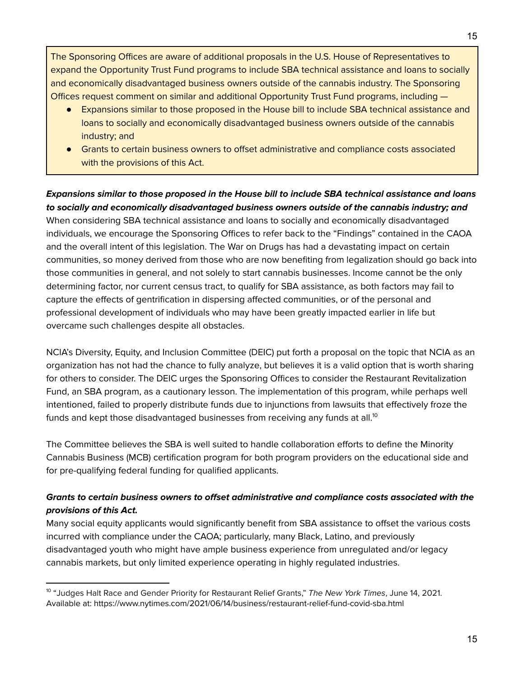The Sponsoring Offices are aware of additional proposals in the U.S. House of Representatives to expand the Opportunity Trust Fund programs to include SBA technical assistance and loans to socially and economically disadvantaged business owners outside of the cannabis industry. The Sponsoring Offices request comment on similar and additional Opportunity Trust Fund programs, including —

- Expansions similar to those proposed in the House bill to include SBA technical assistance and loans to socially and economically disadvantaged business owners outside of the cannabis industry; and
- Grants to certain business owners to offset administrative and compliance costs associated with the provisions of this Act.

#### **Expansions similar to those proposed in the House bill to include SBA technical assistance and loans to socially and economically disadvantaged business owners outside of the cannabis industry; and**

When considering SBA technical assistance and loans to socially and economically disadvantaged individuals, we encourage the Sponsoring Offices to refer back to the "Findings" contained in the CAOA and the overall intent of this legislation. The War on Drugs has had a devastating impact on certain communities, so money derived from those who are now benefiting from legalization should go back into those communities in general, and not solely to start cannabis businesses. Income cannot be the only determining factor, nor current census tract, to qualify for SBA assistance, as both factors may fail to capture the effects of gentrification in dispersing affected communities, or of the personal and professional development of individuals who may have been greatly impacted earlier in life but overcame such challenges despite all obstacles.

NCIA's Diversity, Equity, and Inclusion Committee (DEIC) put forth a proposal on the topic that NCIA as an organization has not had the chance to fully analyze, but believes it is a valid option that is worth sharing for others to consider. The DEIC urges the Sponsoring Offices to consider the Restaurant Revitalization Fund, an SBA program, as a cautionary lesson. The implementation of this program, while perhaps well intentioned, failed to properly distribute funds due to injunctions from lawsuits that effectively froze the funds and kept those disadvantaged businesses from receiving any funds at all. $^{\rm 10}$ 

The Committee believes the SBA is well suited to handle collaboration efforts to define the Minority Cannabis Business (MCB) certification program for both program providers on the educational side and for pre-qualifying federal funding for qualified applicants.

## **Grants to certain business owners to offset administrative and compliance costs associated with the provisions of this Act.**

Many social equity applicants would significantly benefit from SBA assistance to offset the various costs incurred with compliance under the CAOA; particularly, many Black, Latino, and previously disadvantaged youth who might have ample business experience from unregulated and/or legacy cannabis markets, but only limited experience operating in highly regulated industries.

<sup>&</sup>lt;sup>10</sup> "Judges Halt Race and Gender Priority for Restaurant Relief Grants," *The New York Times,* June 14, 2021. Available at: https://www.nytimes.com/2021/06/14/business/restaurant-relief-fund-covid-sba.html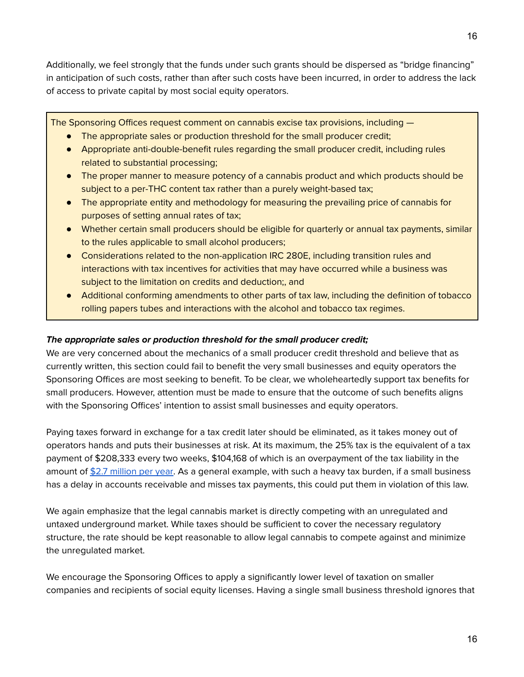Additionally, we feel strongly that the funds under such grants should be dispersed as "bridge financing" in anticipation of such costs, rather than after such costs have been incurred, in order to address the lack of access to private capital by most social equity operators.

The Sponsoring Offices request comment on cannabis excise tax provisions, including —

- The appropriate sales or production threshold for the small producer credit;
- Appropriate anti-double-benefit rules regarding the small producer credit, including rules related to substantial processing;
- The proper manner to measure potency of a cannabis product and which products should be subject to a per-THC content tax rather than a purely weight-based tax;
- The appropriate entity and methodology for measuring the prevailing price of cannabis for purposes of setting annual rates of tax;
- Whether certain small producers should be eligible for quarterly or annual tax payments, similar to the rules applicable to small alcohol producers;
- Considerations related to the non-application IRC 280E, including transition rules and interactions with tax incentives for activities that may have occurred while a business was subject to the limitation on credits and deduction;, and
- Additional conforming amendments to other parts of tax law, including the definition of tobacco rolling papers tubes and interactions with the alcohol and tobacco tax regimes.

#### **The appropriate sales or production threshold for the small producer credit;**

We are very concerned about the mechanics of a small producer credit threshold and believe that as currently written, this section could fail to benefit the very small businesses and equity operators the Sponsoring Offices are most seeking to benefit. To be clear, we wholeheartedly support tax benefits for small producers. However, attention must be made to ensure that the outcome of such benefits aligns with the Sponsoring Offices' intention to assist small businesses and equity operators.

Paying taxes forward in exchange for a tax credit later should be eliminated, as it takes money out of operators hands and puts their businesses at risk. At its maximum, the 25% tax is the equivalent of a tax payment of \$208,333 every two weeks, \$104,168 of which is an overpayment of the tax liability in the amount of \$2.7 [million](https://thecannabisindustry.org/wp-content/uploads/2021/08/An-economic-analysis-of-CAOA-by-Whitney-Economics-08-07-21-for-congress-1.pdf) per year. As a general example, with such a heavy tax burden, if a small business has a delay in accounts receivable and misses tax payments, this could put them in violation of this law.

We again emphasize that the legal cannabis market is directly competing with an unregulated and untaxed underground market. While taxes should be sufficient to cover the necessary regulatory structure, the rate should be kept reasonable to allow legal cannabis to compete against and minimize the unregulated market.

We encourage the Sponsoring Offices to apply a significantly lower level of taxation on smaller companies and recipients of social equity licenses. Having a single small business threshold ignores that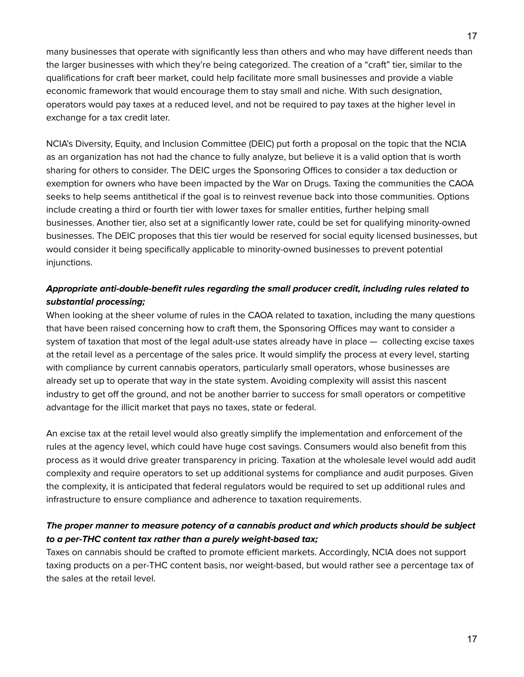many businesses that operate with significantly less than others and who may have different needs than the larger businesses with which they're being categorized. The creation of a "craft" tier, similar to the qualifications for craft beer market, could help facilitate more small businesses and provide a viable economic framework that would encourage them to stay small and niche. With such designation, operators would pay taxes at a reduced level, and not be required to pay taxes at the higher level in exchange for a tax credit later.

NCIA's Diversity, Equity, and Inclusion Committee (DEIC) put forth a proposal on the topic that the NCIA as an organization has not had the chance to fully analyze, but believe it is a valid option that is worth sharing for others to consider. The DEIC urges the Sponsoring Offices to consider a tax deduction or exemption for owners who have been impacted by the War on Drugs. Taxing the communities the CAOA seeks to help seems antithetical if the goal is to reinvest revenue back into those communities. Options include creating a third or fourth tier with lower taxes for smaller entities, further helping small businesses. Another tier, also set at a significantly lower rate, could be set for qualifying minority-owned businesses. The DEIC proposes that this tier would be reserved for social equity licensed businesses, but would consider it being specifically applicable to minority-owned businesses to prevent potential injunctions.

### **Appropriate anti-double-benefit rules regarding the small producer credit, including rules related to substantial processing;**

When looking at the sheer volume of rules in the CAOA related to taxation, including the many questions that have been raised concerning how to craft them, the Sponsoring Offices may want to consider a system of taxation that most of the legal adult-use states already have in place — collecting excise taxes at the retail level as a percentage of the sales price. It would simplify the process at every level, starting with compliance by current cannabis operators, particularly small operators, whose businesses are already set up to operate that way in the state system. Avoiding complexity will assist this nascent industry to get off the ground, and not be another barrier to success for small operators or competitive advantage for the illicit market that pays no taxes, state or federal.

An excise tax at the retail level would also greatly simplify the implementation and enforcement of the rules at the agency level, which could have huge cost savings. Consumers would also benefit from this process as it would drive greater transparency in pricing. Taxation at the wholesale level would add audit complexity and require operators to set up additional systems for compliance and audit purposes. Given the complexity, it is anticipated that federal regulators would be required to set up additional rules and infrastructure to ensure compliance and adherence to taxation requirements.

## **The proper manner to measure potency of a cannabis product and which products should be subject to a per-THC content tax rather than a purely weight-based tax;**

Taxes on cannabis should be crafted to promote efficient markets. Accordingly, NCIA does not support taxing products on a per-THC content basis, nor weight-based, but would rather see a percentage tax of the sales at the retail level.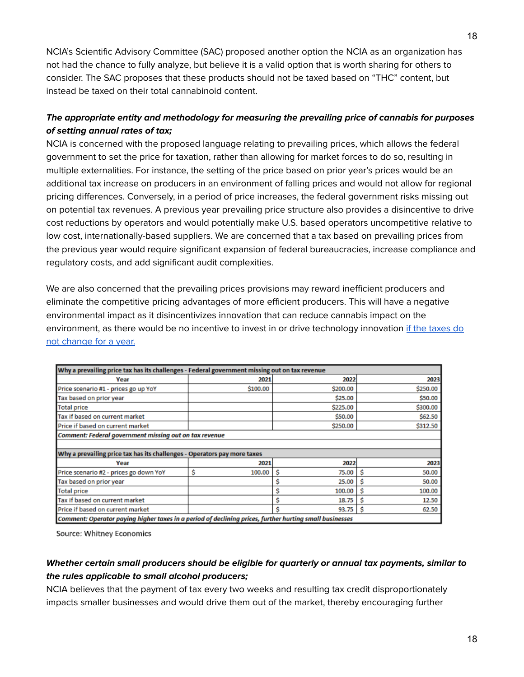NCIA's Scientific Advisory Committee (SAC) proposed another option the NCIA as an organization has not had the chance to fully analyze, but believe it is a valid option that is worth sharing for others to consider. The SAC proposes that these products should not be taxed based on "THC" content, but instead be taxed on their total cannabinoid content.

## **The appropriate entity and methodology for measuring the prevailing price of cannabis for purposes of setting annual rates of tax;**

NCIA is concerned with the proposed language relating to prevailing prices, which allows the federal government to set the price for taxation, rather than allowing for market forces to do so, resulting in multiple externalities. For instance, the setting of the price based on prior year's prices would be an additional tax increase on producers in an environment of falling prices and would not allow for regional pricing differences. Conversely, in a period of price increases, the federal government risks missing out on potential tax revenues. A previous year prevailing price structure also provides a disincentive to drive cost reductions by operators and would potentially make U.S. based operators uncompetitive relative to low cost, internationally-based suppliers. We are concerned that a tax based on prevailing prices from the previous year would require significant expansion of federal bureaucracies, increase compliance and regulatory costs, and add significant audit complexities.

We are also concerned that the prevailing prices provisions may reward inefficient producers and eliminate the competitive pricing advantages of more efficient producers. This will have a negative environmental impact as it disincentivizes innovation that can reduce cannabis impact on the environment, as there would be no incentive to invest in or drive technology innovation if the [taxes](https://thecannabisindustry.org/wp-content/uploads/2021/08/An-economic-analysis-of-CAOA-by-Whitney-Economics-08-07-21-for-congress-1.pdf) do not [change](https://thecannabisindustry.org/wp-content/uploads/2021/08/An-economic-analysis-of-CAOA-by-Whitney-Economics-08-07-21-for-congress-1.pdf) for a year.

| Why a prevailing price tax has its challenges - Federal government missing out on tax revenue           |             |            |             |  |  |  |  |
|---------------------------------------------------------------------------------------------------------|-------------|------------|-------------|--|--|--|--|
| Year                                                                                                    | 2021        | 2022       | 2023        |  |  |  |  |
| Price scenario #1 - prices go up YoY                                                                    | \$100.00    | \$200.00   | \$250.00    |  |  |  |  |
| Tax based on prior year                                                                                 |             | \$25.00    | \$50.00     |  |  |  |  |
| <b>Total price</b>                                                                                      |             | \$225.00   | \$300.00    |  |  |  |  |
| Tax if based on current market                                                                          |             | \$50.00    | \$62.50     |  |  |  |  |
| Price if based on current market                                                                        |             | \$250.00   | \$312.50    |  |  |  |  |
| <b>Comment: Federal government missing out on tax revenue</b>                                           |             |            |             |  |  |  |  |
|                                                                                                         |             |            |             |  |  |  |  |
| Why a prevailing price tax has its challenges - Operators pay more taxes                                |             |            |             |  |  |  |  |
| Year                                                                                                    | 2021        | 2022       | 2023        |  |  |  |  |
| Price scenario #2 - prices go down YoY                                                                  | Ś<br>100.00 | 75.00<br>s | Ś<br>50.00  |  |  |  |  |
| Tax based on prior year                                                                                 |             | 25.00      | 50.00       |  |  |  |  |
| <b>Total price</b>                                                                                      |             | 100.00     | S<br>100.00 |  |  |  |  |
| Tax if based on current market                                                                          |             | 18.75      | 12.50       |  |  |  |  |
| Price if based on current market                                                                        |             | 93.75      | 62.50<br>s  |  |  |  |  |
| Comment: Operator pavina biaber taxes in a period of declining prices, further burting small businesses |             |            |             |  |  |  |  |

Source: Whitney Economics

### **Whether certain small producers should be eligible for quarterly or annual tax payments, similar to the rules applicable to small alcohol producers;**

NCIA believes that the payment of tax every two weeks and resulting tax credit disproportionately impacts smaller businesses and would drive them out of the market, thereby encouraging further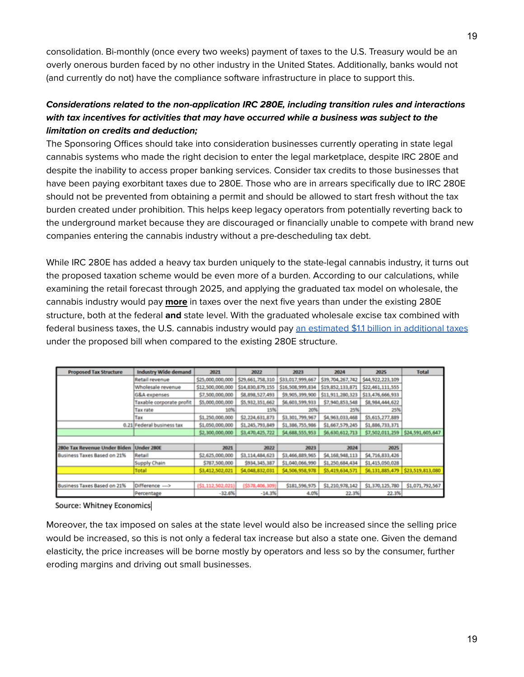consolidation. Bi-monthly (once every two weeks) payment of taxes to the U.S. Treasury would be an overly onerous burden faced by no other industry in the United States. Additionally, banks would not (and currently do not) have the compliance software infrastructure in place to support this.

### **Considerations related to the non-application IRC 280E, including transition rules and interactions with tax incentives for activities that may have occurred while a business was subject to the limitation on credits and deduction;**

The Sponsoring Offices should take into consideration businesses currently operating in state legal cannabis systems who made the right decision to enter the legal marketplace, despite IRC 280E and despite the inability to access proper banking services. Consider tax credits to those businesses that have been paying exorbitant taxes due to 280E. Those who are in arrears specifically due to IRC 280E should not be prevented from obtaining a permit and should be allowed to start fresh without the tax burden created under prohibition. This helps keep legacy operators from potentially reverting back to the underground market because they are discouraged or financially unable to compete with brand new companies entering the cannabis industry without a pre-descheduling tax debt.

While IRC 280E has added a heavy tax burden uniquely to the state-legal cannabis industry, it turns out the proposed taxation scheme would be even more of a burden. According to our calculations, while examining the retail forecast through 2025, and applying the graduated tax model on wholesale, the cannabis industry would pay **more** in taxes over the next five years than under the existing 280E structure, both at the federal **and** state level. With the graduated wholesale excise tax combined with federal business taxes, the U.S. cannabis industry would pay an [estimated](https://thecannabisindustry.org/wp-content/uploads/2021/08/An-economic-analysis-of-CAOA-by-Whitney-Economics-08-07-21-for-congress-1.pdf) \$1.1 billion in additional taxes under the proposed bill when compared to the existing 280E structure.

| <b>Proposed Tax Structure</b> | <b>Industry Wide demand</b> | 2021              | 2022             | 2023             | 2024             | 2025             | <b>Total</b>                     |
|-------------------------------|-----------------------------|-------------------|------------------|------------------|------------------|------------------|----------------------------------|
|                               | Retail revenue              | \$25,000,000,000  | \$29,661,758,310 | \$33,017,999,667 | \$39,704,267,742 | \$44,922,223,109 |                                  |
|                               | Wholesale revenue           | \$12,500,000,000  | \$14,830,879,155 | \$16,508,999,834 | \$19,852,133,871 | \$22,461,111,555 |                                  |
|                               | <b>G&amp;A</b> expenses     | \$7,500,000,000   | \$8,898,527,493  | \$9,905,399,900  | \$11,911,280,323 | \$13,476,666,933 |                                  |
|                               | Taxable corporate profit    | \$5,000,000,000   | \$5,932,351,662  | \$6,603,599,933  | \$7,940,853,548  | \$8,984,444,622  |                                  |
|                               | <b>Tax rate</b>             | 10%               | 15%              | 20%              | 25%              | 25%              |                                  |
|                               | Tax                         | \$1,250,000,000   | \$2,224,631,873  | \$3,301,799,967  | \$4,963,033,468  | \$5,615,277,889  |                                  |
|                               | 0.21 Federal business tax   | \$1,050,000,000   | \$1,245,793,849  | \$1,386,755,986  | \$1,667,579,245  | \$1,886,733,371  |                                  |
|                               |                             | \$2,300,000,000   | \$3,470,425,722  | \$4,688,555,953  | \$6,630,612,713  |                  | \$7,502,011,259 \$24,591,605,647 |
|                               |                             |                   |                  |                  |                  |                  |                                  |
| 280e Tax Revenue Under Biden  | Under 280E                  | 2021              | 2022             | 2023             | 2024             | 2025             |                                  |
| Business Taxes Based on 21%   | Retail                      | \$2,625,000,000   | \$3,114,484,623  | \$3,466,889,965  | \$4,168,948,113  | \$4,716,833,426  |                                  |
|                               | <b>Supply Chain</b>         | \$787,500,000     | \$934,345,387    | \$1,040,066,990  | \$1,250,684,434  | \$1,415,050,028  |                                  |
|                               | Total                       | \$3,412,502,021   | \$4,048,832,031  | \$4,506,958,978  | \$5,419,634,571  | \$6,131,885,479  | \$23,519,813,080                 |
|                               |                             |                   |                  |                  |                  |                  |                                  |
| Business Taxes Based on 21%   | Difference --->             | (\$1,112,502,021) | (\$578,406,309)  | \$181,596,975    | \$1,210,978,142  | \$1,370,125,780  | \$1,071,792,567                  |
|                               | Percentage                  | $-32.6%$          | $-14.3%$         | 4.0%             | 22.3%            | 22.3%            |                                  |

Source: Whitney Economics

Moreover, the tax imposed on sales at the state level would also be increased since the selling price would be increased, so this is not only a federal tax increase but also a state one. Given the demand elasticity, the price increases will be borne mostly by operators and less so by the consumer, further eroding margins and driving out small businesses.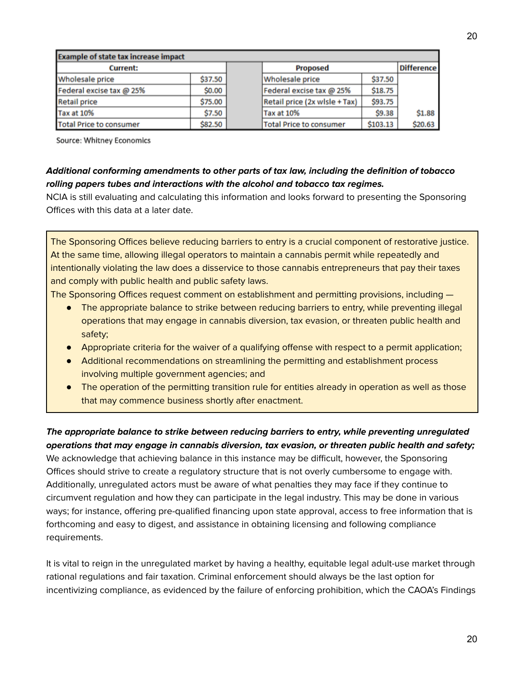| <b>Example of state tax increase impact</b> |         |  |                                |          |                   |
|---------------------------------------------|---------|--|--------------------------------|----------|-------------------|
| <b>Current:</b>                             |         |  | <b>Proposed</b>                |          | <b>Difference</b> |
| <b>Wholesale price</b>                      | \$37.50 |  | <b>Wholesale price</b>         | \$37.50  |                   |
| Federal excise tax @ 25%                    | \$0.00  |  | Federal excise tax @ 25%       | \$18.75  |                   |
| <b>Retail price</b>                         | \$75.00 |  | Retail price (2x wlsle + Tax)  | \$93.75  |                   |
| <b>Tax at 10%</b>                           | \$7.50  |  | <b>Tax at 10%</b>              | \$9.38   | \$1.88            |
| <b>Total Price to consumer</b>              | \$82.50 |  | <b>Total Price to consumer</b> | \$103.13 | \$20.63           |

Source: Whitney Economics

#### **Additional conforming amendments to other parts of tax law, including the definition of tobacco rolling papers tubes and interactions with the alcohol and tobacco tax regimes.**

NCIA is still evaluating and calculating this information and looks forward to presenting the Sponsoring Offices with this data at a later date.

The Sponsoring Offices believe reducing barriers to entry is a crucial component of restorative justice. At the same time, allowing illegal operators to maintain a cannabis permit while repeatedly and intentionally violating the law does a disservice to those cannabis entrepreneurs that pay their taxes and comply with public health and public safety laws.

The Sponsoring Offices request comment on establishment and permitting provisions, including —

- The appropriate balance to strike between reducing barriers to entry, while preventing illegal operations that may engage in cannabis diversion, tax evasion, or threaten public health and safety;
- Appropriate criteria for the waiver of a qualifying offense with respect to a permit application;
- Additional recommendations on streamlining the permitting and establishment process involving multiple government agencies; and
- The operation of the permitting transition rule for entities already in operation as well as those that may commence business shortly after enactment.

#### **The appropriate balance to strike between reducing barriers to entry, while preventing unregulated operations that may engage in cannabis diversion, tax evasion, or threaten public health and safety;**

We acknowledge that achieving balance in this instance may be difficult, however, the Sponsoring Offices should strive to create a regulatory structure that is not overly cumbersome to engage with. Additionally, unregulated actors must be aware of what penalties they may face if they continue to circumvent regulation and how they can participate in the legal industry. This may be done in various ways; for instance, offering pre-qualified financing upon state approval, access to free information that is forthcoming and easy to digest, and assistance in obtaining licensing and following compliance requirements.

It is vital to reign in the unregulated market by having a healthy, equitable legal adult-use market through rational regulations and fair taxation. Criminal enforcement should always be the last option for incentivizing compliance, as evidenced by the failure of enforcing prohibition, which the CAOA's Findings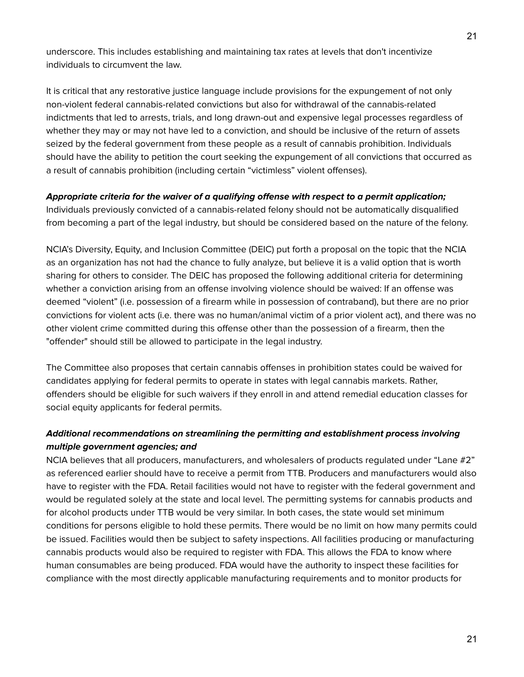underscore. This includes establishing and maintaining tax rates at levels that don't incentivize individuals to circumvent the law.

It is critical that any restorative justice language include provisions for the expungement of not only non-violent federal cannabis-related convictions but also for withdrawal of the cannabis-related indictments that led to arrests, trials, and long drawn-out and expensive legal processes regardless of whether they may or may not have led to a conviction, and should be inclusive of the return of assets seized by the federal government from these people as a result of cannabis prohibition. Individuals should have the ability to petition the court seeking the expungement of all convictions that occurred as a result of cannabis prohibition (including certain "victimless" violent offenses).

#### **Appropriate criteria for the waiver of a qualifying offense with respect to a permit application;**

Individuals previously convicted of a cannabis-related felony should not be automatically disqualified from becoming a part of the legal industry, but should be considered based on the nature of the felony.

NCIA's Diversity, Equity, and Inclusion Committee (DEIC) put forth a proposal on the topic that the NCIA as an organization has not had the chance to fully analyze, but believe it is a valid option that is worth sharing for others to consider. The DEIC has proposed the following additional criteria for determining whether a conviction arising from an offense involving violence should be waived: If an offense was deemed "violent" (i.e. possession of a firearm while in possession of contraband), but there are no prior convictions for violent acts (i.e. there was no human/animal victim of a prior violent act), and there was no other violent crime committed during this offense other than the possession of a firearm, then the "offender" should still be allowed to participate in the legal industry.

The Committee also proposes that certain cannabis offenses in prohibition states could be waived for candidates applying for federal permits to operate in states with legal cannabis markets. Rather, offenders should be eligible for such waivers if they enroll in and attend remedial education classes for social equity applicants for federal permits.

### **Additional recommendations on streamlining the permitting and establishment process involving multiple government agencies; and**

NCIA believes that all producers, manufacturers, and wholesalers of products regulated under "Lane #2" as referenced earlier should have to receive a permit from TTB. Producers and manufacturers would also have to register with the FDA. Retail facilities would not have to register with the federal government and would be regulated solely at the state and local level. The permitting systems for cannabis products and for alcohol products under TTB would be very similar. In both cases, the state would set minimum conditions for persons eligible to hold these permits. There would be no limit on how many permits could be issued. Facilities would then be subject to safety inspections. All facilities producing or manufacturing cannabis products would also be required to register with FDA. This allows the FDA to know where human consumables are being produced. FDA would have the authority to inspect these facilities for compliance with the most directly applicable manufacturing requirements and to monitor products for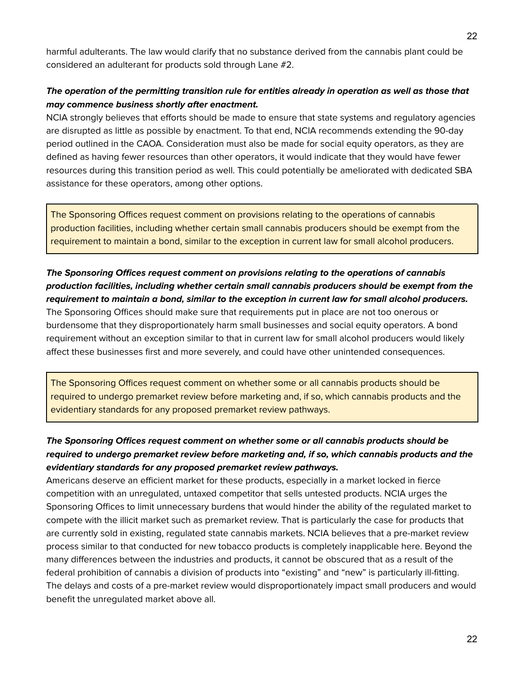harmful adulterants. The law would clarify that no substance derived from the cannabis plant could be considered an adulterant for products sold through Lane #2.

### **The operation of the permitting transition rule for entities already in operation as well as those that may commence business shortly after enactment.**

NCIA strongly believes that efforts should be made to ensure that state systems and regulatory agencies are disrupted as little as possible by enactment. To that end, NCIA recommends extending the 90-day period outlined in the CAOA. Consideration must also be made for social equity operators, as they are defined as having fewer resources than other operators, it would indicate that they would have fewer resources during this transition period as well. This could potentially be ameliorated with dedicated SBA assistance for these operators, among other options.

The Sponsoring Offices request comment on provisions relating to the operations of cannabis production facilities, including whether certain small cannabis producers should be exempt from the requirement to maintain a bond, similar to the exception in current law for small alcohol producers.

## **The Sponsoring Offices request comment on provisions relating to the operations of cannabis production facilities, including whether certain small cannabis producers should be exempt from the requirement to maintain a bond, similar to the exception in current law for small alcohol producers.**

The Sponsoring Offices should make sure that requirements put in place are not too onerous or burdensome that they disproportionately harm small businesses and social equity operators. A bond requirement without an exception similar to that in current law for small alcohol producers would likely affect these businesses first and more severely, and could have other unintended consequences.

The Sponsoring Offices request comment on whether some or all cannabis products should be required to undergo premarket review before marketing and, if so, which cannabis products and the evidentiary standards for any proposed premarket review pathways.

## **The Sponsoring Offices request comment on whether some or all cannabis products should be required to undergo premarket review before marketing and, if so, which cannabis products and the evidentiary standards for any proposed premarket review pathways.**

Americans deserve an efficient market for these products, especially in a market locked in fierce competition with an unregulated, untaxed competitor that sells untested products. NCIA urges the Sponsoring Offices to limit unnecessary burdens that would hinder the ability of the regulated market to compete with the illicit market such as premarket review. That is particularly the case for products that are currently sold in existing, regulated state cannabis markets. NCIA believes that a pre-market review process similar to that conducted for new tobacco products is completely inapplicable here. Beyond the many differences between the industries and products, it cannot be obscured that as a result of the federal prohibition of cannabis a division of products into "existing" and "new" is particularly ill-fitting. The delays and costs of a pre-market review would disproportionately impact small producers and would benefit the unregulated market above all.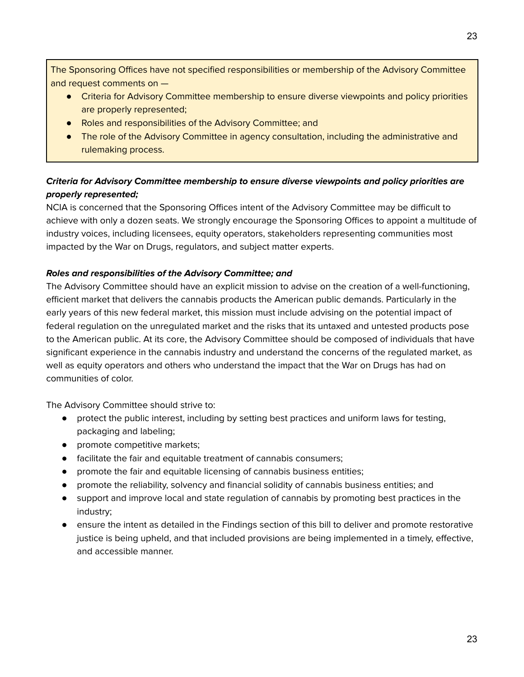The Sponsoring Offices have not specified responsibilities or membership of the Advisory Committee and request comments on —

- Criteria for Advisory Committee membership to ensure diverse viewpoints and policy priorities are properly represented;
- Roles and responsibilities of the Advisory Committee; and
- The role of the Advisory Committee in agency consultation, including the administrative and rulemaking process.

## **Criteria for Advisory Committee membership to ensure diverse viewpoints and policy priorities are properly represented;**

NCIA is concerned that the Sponsoring Offices intent of the Advisory Committee may be difficult to achieve with only a dozen seats. We strongly encourage the Sponsoring Offices to appoint a multitude of industry voices, including licensees, equity operators, stakeholders representing communities most impacted by the War on Drugs, regulators, and subject matter experts.

#### **Roles and responsibilities of the Advisory Committee; and**

The Advisory Committee should have an explicit mission to advise on the creation of a well-functioning, efficient market that delivers the cannabis products the American public demands. Particularly in the early years of this new federal market, this mission must include advising on the potential impact of federal regulation on the unregulated market and the risks that its untaxed and untested products pose to the American public. At its core, the Advisory Committee should be composed of individuals that have significant experience in the cannabis industry and understand the concerns of the regulated market, as well as equity operators and others who understand the impact that the War on Drugs has had on communities of color.

The Advisory Committee should strive to:

- protect the public interest, including by setting best practices and uniform laws for testing, packaging and labeling;
- promote competitive markets;
- facilitate the fair and equitable treatment of cannabis consumers;
- promote the fair and equitable licensing of cannabis business entities;
- promote the reliability, solvency and financial solidity of cannabis business entities; and
- support and improve local and state regulation of cannabis by promoting best practices in the industry;
- ensure the intent as detailed in the Findings section of this bill to deliver and promote restorative justice is being upheld, and that included provisions are being implemented in a timely, effective, and accessible manner.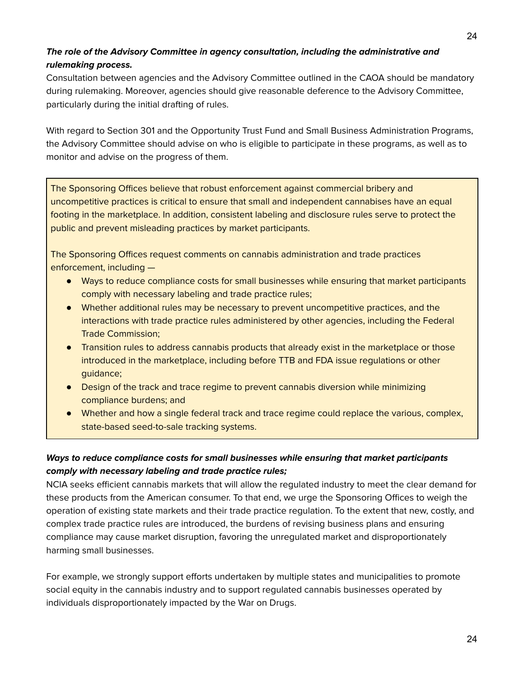## **The role of the Advisory Committee in agency consultation, including the administrative and rulemaking process.**

Consultation between agencies and the Advisory Committee outlined in the CAOA should be mandatory during rulemaking. Moreover, agencies should give reasonable deference to the Advisory Committee, particularly during the initial drafting of rules.

With regard to Section 301 and the Opportunity Trust Fund and Small Business Administration Programs, the Advisory Committee should advise on who is eligible to participate in these programs, as well as to monitor and advise on the progress of them.

The Sponsoring Offices believe that robust enforcement against commercial bribery and uncompetitive practices is critical to ensure that small and independent cannabises have an equal footing in the marketplace. In addition, consistent labeling and disclosure rules serve to protect the public and prevent misleading practices by market participants.

The Sponsoring Offices request comments on cannabis administration and trade practices enforcement, including —

- Ways to reduce compliance costs for small businesses while ensuring that market participants comply with necessary labeling and trade practice rules;
- Whether additional rules may be necessary to prevent uncompetitive practices, and the interactions with trade practice rules administered by other agencies, including the Federal Trade Commission;
- Transition rules to address cannabis products that already exist in the marketplace or those introduced in the marketplace, including before TTB and FDA issue regulations or other guidance;
- Design of the track and trace regime to prevent cannabis diversion while minimizing compliance burdens; and
- Whether and how a single federal track and trace regime could replace the various, complex, state-based seed-to-sale tracking systems.

## **Ways to reduce compliance costs for small businesses while ensuring that market participants comply with necessary labeling and trade practice rules;**

NCIA seeks efficient cannabis markets that will allow the regulated industry to meet the clear demand for these products from the American consumer. To that end, we urge the Sponsoring Offices to weigh the operation of existing state markets and their trade practice regulation. To the extent that new, costly, and complex trade practice rules are introduced, the burdens of revising business plans and ensuring compliance may cause market disruption, favoring the unregulated market and disproportionately harming small businesses.

For example, we strongly support efforts undertaken by multiple states and municipalities to promote social equity in the cannabis industry and to support regulated cannabis businesses operated by individuals disproportionately impacted by the War on Drugs.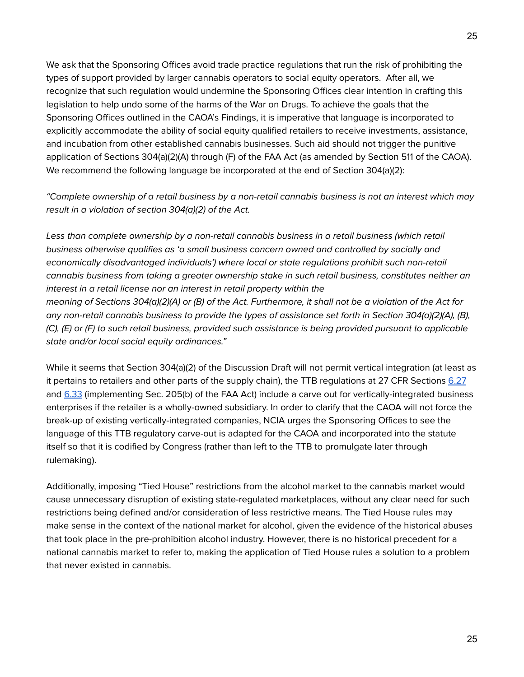We ask that the Sponsoring Offices avoid trade practice regulations that run the risk of prohibiting the types of support provided by larger cannabis operators to social equity operators. After all, we recognize that such regulation would undermine the Sponsoring Offices clear intention in crafting this legislation to help undo some of the harms of the War on Drugs. To achieve the goals that the Sponsoring Offices outlined in the CAOA's Findings, it is imperative that language is incorporated to explicitly accommodate the ability of social equity qualified retailers to receive investments, assistance, and incubation from other established cannabis businesses. Such aid should not trigger the punitive application of Sections 304(a)(2)(A) through (F) of the FAA Act (as amended by Section 511 of the CAOA). We recommend the following language be incorporated at the end of Section 304(a)(2):

"Complete ownership of a retail business by a non-retail cannabis business is not an interest which may result in a violation of section 304(a)(2) of the Act.

Less than complete ownership by a non-retail cannabis business in a retail business (which retail business otherwise qualifies as 'a small business concern owned and controlled by socially and economically disadvantaged individuals') where local or state regulations prohibit such non-retail cannabis business from taking a greater ownership stake in such retail business, constitutes neither an interest in a retail license nor an interest in retail property within the meaning of Sections 304(a)(2)(A) or (B) of the Act. Furthermore, it shall not be a violation of the Act for any non-retail cannabis business to provide the types of assistance set forth in Section 304(a)(2)(A), (B), (C), (E) or (F) to such retail business, provided such assistance is being provided pursuant to applicable state and/or local social equity ordinances."

While it seems that Section 304(a)(2) of the Discussion Draft will not permit vertical integration (at least as it pertains to retailers and other parts of the supply chain), the TTB regulations at 27 CFR Sections [6.27](https://www.ecfr.gov/cgi-bin/text-idx?SID=1b991d8c82e577e07fd65c7d0e044827&mc=true&node=sp27.1.6.c&rgn=div6#se27.1.6_127) and [6.33](https://www.ecfr.gov/cgi-bin/text-idx?SID=1b991d8c82e577e07fd65c7d0e044827&mc=true&node=sp27.1.6.c&rgn=div6#se27.1.6_133) (implementing Sec. 205(b) of the FAA Act) include a carve out for vertically-integrated business enterprises if the retailer is a wholly-owned subsidiary. In order to clarify that the CAOA will not force the break-up of existing vertically-integrated companies, NCIA urges the Sponsoring Offices to see the language of this TTB regulatory carve-out is adapted for the CAOA and incorporated into the statute itself so that it is codified by Congress (rather than left to the TTB to promulgate later through rulemaking).

Additionally, imposing "Tied House" restrictions from the alcohol market to the cannabis market would cause unnecessary disruption of existing state-regulated marketplaces, without any clear need for such restrictions being defined and/or consideration of less restrictive means. The Tied House rules may make sense in the context of the national market for alcohol, given the evidence of the historical abuses that took place in the pre-prohibition alcohol industry. However, there is no historical precedent for a national cannabis market to refer to, making the application of Tied House rules a solution to a problem that never existed in cannabis.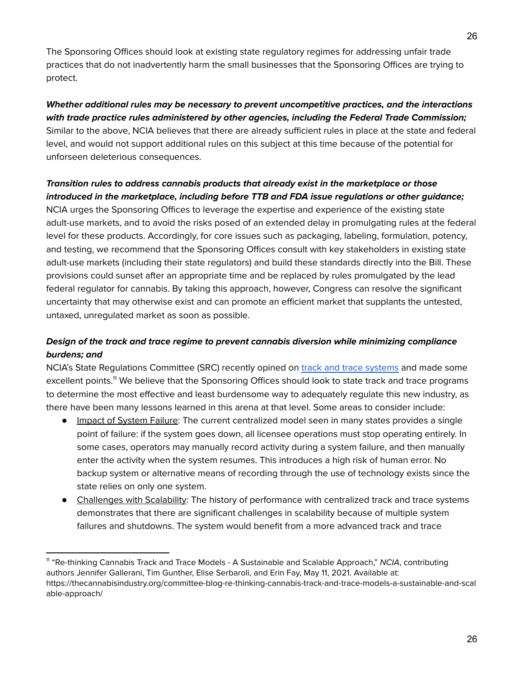The Sponsoring Offices should look at existing state regulatory regimes for addressing unfair trade practices that do not inadvertently harm the small businesses that the Sponsoring Offices are trying to protect.

## **Whether additional rules may be necessary to prevent uncompetitive practices, and the interactions with trade practice rules administered by other agencies, including the Federal Trade Commission;** Similar to the above, NCIA believes that there are already sufficient rules in place at the state and federal level, and would not support additional rules on this subject at this time because of the potential for unforseen deleterious consequences.

#### **Transition rules to address cannabis products that already exist in the marketplace or those introduced in the marketplace, including before TTB and FDA issue regulations or other guidance;**

NCIA urges the Sponsoring Offices to leverage the expertise and experience of the existing state adult-use markets, and to avoid the risks posed of an extended delay in promulgating rules at the federal level for these products. Accordingly, for core issues such as packaging, labeling, formulation, potency, and testing, we recommend that the Sponsoring Offices consult with key stakeholders in existing state adult-use markets (including their state regulators) and build these standards directly into the Bill. These provisions could sunset after an appropriate time and be replaced by rules promulgated by the lead federal regulator for cannabis. By taking this approach, however, Congress can resolve the significant uncertainty that may otherwise exist and can promote an efficient market that supplants the untested, untaxed, unregulated market as soon as possible.

## **Design of the track and trace regime to prevent cannabis diversion while minimizing compliance burdens; and**

NCIA's State Regulations Committee (SRC) recently opined on track and trace [systems](https://thecannabisindustry.org/committee-blog-re-thinking-cannabis-track-and-trace-models-a-sustainable-and-scalable-approach/) and made some excellent points.<sup>11</sup> We believe that the Sponsoring Offices should look to state track and trace programs to determine the most effective and least burdensome way to adequately regulate this new industry, as there have been many lessons learned in this arena at that level. Some areas to consider include:

- Impact of System Failure: The current centralized model seen in many states provides a single point of failure: if the system goes down, all licensee operations must stop operating entirely. In some cases, operators may manually record activity during a system failure, and then manually enter the activity when the system resumes. This introduces a high risk of human error. No backup system or alternative means of recording through the use of technology exists since the state relies on only one system.
- Challenges with Scalability: The history of performance with centralized track and trace systems demonstrates that there are significant challenges in scalability because of multiple system failures and shutdowns. The system would benefit from a more advanced track and trace

<sup>&</sup>lt;sup>11</sup> "Re-thinking Cannabis Track and Trace Models - A Sustainable and Scalable Approach," NCIA, contributing authors Jennifer Gallerani, Tim Gunther, Elise Serbaroli, and Erin Fay, May 11, 2021. Available at: https://thecannabisindustry.org/committee-blog-re-thinking-cannabis-track-and-trace-models-a-sustainable-and-scal able-approach/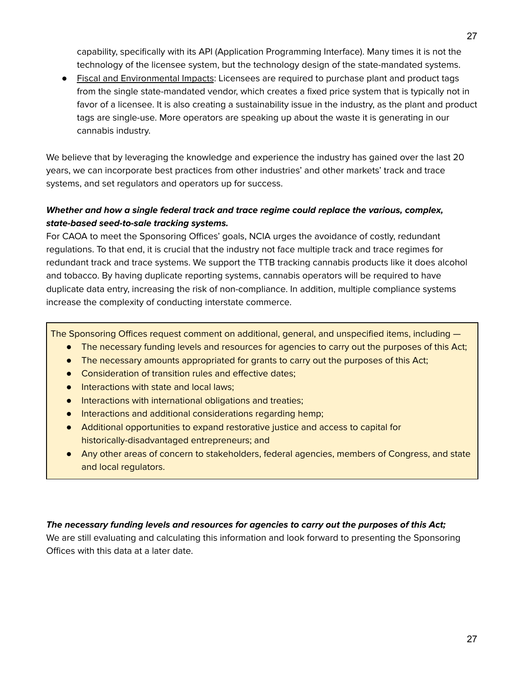capability, specifically with its API (Application Programming Interface). Many times it is not the technology of the licensee system, but the technology design of the state-mandated systems.

● Fiscal and Environmental Impacts: Licensees are required to purchase plant and product tags from the single state-mandated vendor, which creates a fixed price system that is typically not in favor of a licensee. It is also creating a sustainability issue in the industry, as the plant and product tags are single-use. More operators are speaking up about the waste it is generating in our cannabis industry.

We believe that by leveraging the knowledge and experience the industry has gained over the last 20 years, we can incorporate best practices from other industries' and other markets' track and trace systems, and set regulators and operators up for success.

## **Whether and how a single federal track and trace regime could replace the various, complex, state-based seed-to-sale tracking systems.**

For CAOA to meet the Sponsoring Offices' goals, NCIA urges the avoidance of costly, redundant regulations. To that end, it is crucial that the industry not face multiple track and trace regimes for redundant track and trace systems. We support the TTB tracking cannabis products like it does alcohol and tobacco. By having duplicate reporting systems, cannabis operators will be required to have duplicate data entry, increasing the risk of non-compliance. In addition, multiple compliance systems increase the complexity of conducting interstate commerce.

The Sponsoring Offices request comment on additional, general, and unspecified items, including —

- The necessary funding levels and resources for agencies to carry out the purposes of this Act;
- The necessary amounts appropriated for grants to carry out the purposes of this Act;
- Consideration of transition rules and effective dates;
- Interactions with state and local laws;
- Interactions with international obligations and treaties;
- Interactions and additional considerations regarding hemp;
- Additional opportunities to expand restorative justice and access to capital for historically-disadvantaged entrepreneurs; and
- Any other areas of concern to stakeholders, federal agencies, members of Congress, and state and local regulators.

#### **The necessary funding levels and resources for agencies to carry out the purposes of this Act;**

We are still evaluating and calculating this information and look forward to presenting the Sponsoring Offices with this data at a later date.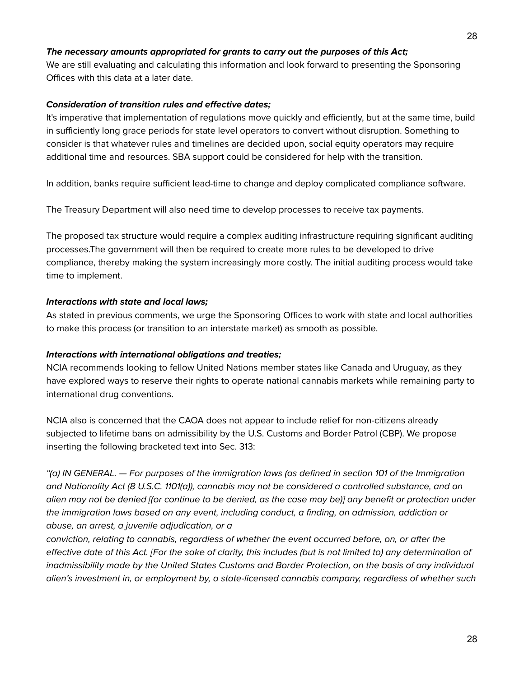#### **The necessary amounts appropriated for grants to carry out the purposes of this Act;**

We are still evaluating and calculating this information and look forward to presenting the Sponsoring Offices with this data at a later date.

#### **Consideration of transition rules and effective dates;**

It's imperative that implementation of regulations move quickly and efficiently, but at the same time, build in sufficiently long grace periods for state level operators to convert without disruption. Something to consider is that whatever rules and timelines are decided upon, social equity operators may require additional time and resources. SBA support could be considered for help with the transition.

In addition, banks require sufficient lead-time to change and deploy complicated compliance software.

The Treasury Department will also need time to develop processes to receive tax payments.

The proposed tax structure would require a complex auditing infrastructure requiring significant auditing processes.The government will then be required to create more rules to be developed to drive compliance, thereby making the system increasingly more costly. The initial auditing process would take time to implement.

#### **Interactions with state and local laws;**

As stated in previous comments, we urge the Sponsoring Offices to work with state and local authorities to make this process (or transition to an interstate market) as smooth as possible.

#### **Interactions with international obligations and treaties;**

NCIA recommends looking to fellow United Nations member states like Canada and Uruguay, as they have explored ways to reserve their rights to operate national cannabis markets while remaining party to international drug conventions.

NCIA also is concerned that the CAOA does not appear to include relief for non-citizens already subjected to lifetime bans on admissibility by the U.S. Customs and Border Patrol (CBP). We propose inserting the following bracketed text into Sec. 313:

"(a) IN GENERAL. — For purposes of the immigration laws (as defined in section 101 of the Immigration and Nationality Act (8 U.S.C. 1101(a)), cannabis may not be considered a controlled substance, and an alien may not be denied [(or continue to be denied, as the case may be)] any benefit or protection under the immigration laws based on any event, including conduct, a finding, an admission, addiction or abuse, an arrest, a juvenile adjudication, or a

conviction, relating to cannabis, regardless of whether the event occurred before, on, or after the effective date of this Act. [For the sake of clarity, this includes (but is not limited to) any determination of inadmissibility made by the United States Customs and Border Protection, on the basis of any individual alien's investment in, or employment by, a state-licensed cannabis company, regardless of whether such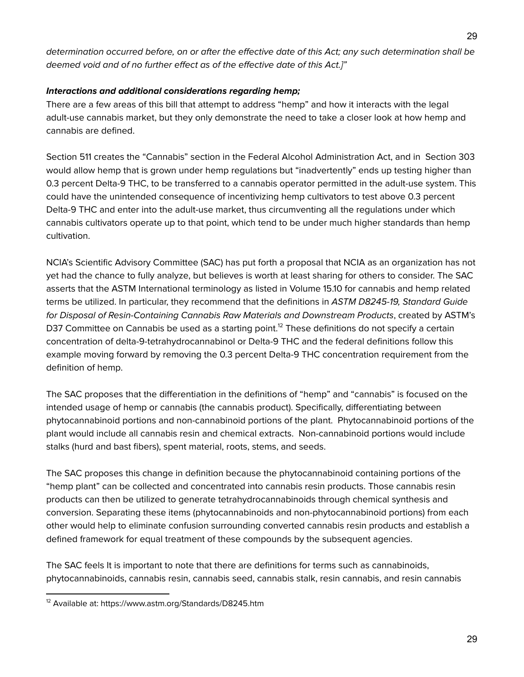determination occurred before, on or after the effective date of this Act; any such determination shall be deemed void and of no further effect as of the effective date of this Act.]"

#### **Interactions and additional considerations regarding hemp;**

There are a few areas of this bill that attempt to address "hemp" and how it interacts with the legal adult-use cannabis market, but they only demonstrate the need to take a closer look at how hemp and cannabis are defined.

Section 511 creates the "Cannabis" section in the Federal Alcohol Administration Act, and in Section 303 would allow hemp that is grown under hemp regulations but "inadvertently" ends up testing higher than 0.3 percent Delta-9 THC, to be transferred to a cannabis operator permitted in the adult-use system. This could have the unintended consequence of incentivizing hemp cultivators to test above 0.3 percent Delta-9 THC and enter into the adult-use market, thus circumventing all the regulations under which cannabis cultivators operate up to that point, which tend to be under much higher standards than hemp cultivation.

NCIA's Scientific Advisory Committee (SAC) has put forth a proposal that NCIA as an organization has not yet had the chance to fully analyze, but believes is worth at least sharing for others to consider. The SAC asserts that the ASTM International terminology as listed in Volume 15.10 for cannabis and hemp related terms be utilized. In particular, they recommend that the definitions in ASTM D8245-19, Standard Guide for Disposal of Resin-Containing Cannabis Raw Materials and Downstream Products, created by ASTM's D37 Committee on Cannabis be used as a starting point.<sup>12</sup> These definitions do not specify a certain concentration of delta-9-tetrahydrocannabinol or Delta-9 THC and the federal definitions follow this example moving forward by removing the 0.3 percent Delta-9 THC concentration requirement from the definition of hemp.

The SAC proposes that the differentiation in the definitions of "hemp" and "cannabis" is focused on the intended usage of hemp or cannabis (the cannabis product). Specifically, differentiating between phytocannabinoid portions and non-cannabinoid portions of the plant. Phytocannabinoid portions of the plant would include all cannabis resin and chemical extracts. Non-cannabinoid portions would include stalks (hurd and bast fibers), spent material, roots, stems, and seeds.

The SAC proposes this change in definition because the phytocannabinoid containing portions of the "hemp plant" can be collected and concentrated into cannabis resin products. Those cannabis resin products can then be utilized to generate tetrahydrocannabinoids through chemical synthesis and conversion. Separating these items (phytocannabinoids and non-phytocannabinoid portions) from each other would help to eliminate confusion surrounding converted cannabis resin products and establish a defined framework for equal treatment of these compounds by the subsequent agencies.

The SAC feels It is important to note that there are definitions for terms such as cannabinoids, phytocannabinoids, cannabis resin, cannabis seed, cannabis stalk, resin cannabis, and resin cannabis

<sup>12</sup> Available at: https://www.astm.org/Standards/D8245.htm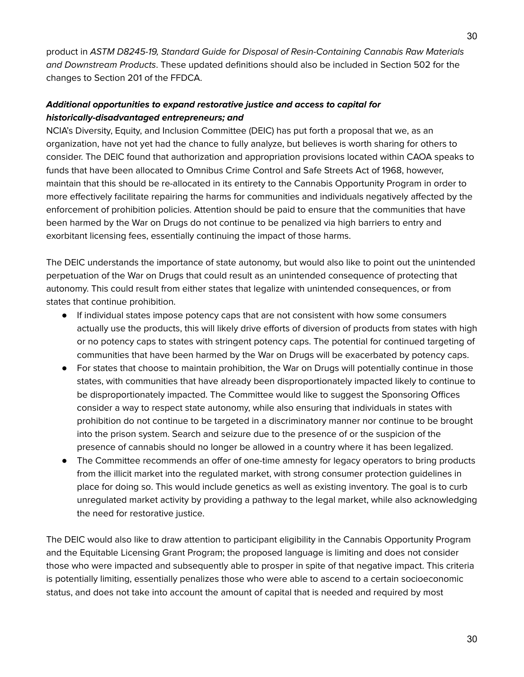product in ASTM D8245-19, Standard Guide for Disposal of Resin-Containing Cannabis Raw Materials and Downstream Products. These updated definitions should also be included in Section 502 for the changes to Section 201 of the FFDCA.

### **Additional opportunities to expand restorative justice and access to capital for historically-disadvantaged entrepreneurs; and**

NCIA's Diversity, Equity, and Inclusion Committee (DEIC) has put forth a proposal that we, as an organization, have not yet had the chance to fully analyze, but believes is worth sharing for others to consider. The DEIC found that authorization and appropriation provisions located within CAOA speaks to funds that have been allocated to Omnibus Crime Control and Safe Streets Act of 1968, however, maintain that this should be re-allocated in its entirety to the Cannabis Opportunity Program in order to more effectively facilitate repairing the harms for communities and individuals negatively affected by the enforcement of prohibition policies. Attention should be paid to ensure that the communities that have been harmed by the War on Drugs do not continue to be penalized via high barriers to entry and exorbitant licensing fees, essentially continuing the impact of those harms.

The DEIC understands the importance of state autonomy, but would also like to point out the unintended perpetuation of the War on Drugs that could result as an unintended consequence of protecting that autonomy. This could result from either states that legalize with unintended consequences, or from states that continue prohibition.

- If individual states impose potency caps that are not consistent with how some consumers actually use the products, this will likely drive efforts of diversion of products from states with high or no potency caps to states with stringent potency caps. The potential for continued targeting of communities that have been harmed by the War on Drugs will be exacerbated by potency caps.
- For states that choose to maintain prohibition, the War on Drugs will potentially continue in those states, with communities that have already been disproportionately impacted likely to continue to be disproportionately impacted. The Committee would like to suggest the Sponsoring Offices consider a way to respect state autonomy, while also ensuring that individuals in states with prohibition do not continue to be targeted in a discriminatory manner nor continue to be brought into the prison system. Search and seizure due to the presence of or the suspicion of the presence of cannabis should no longer be allowed in a country where it has been legalized.
- The Committee recommends an offer of one-time amnesty for legacy operators to bring products from the illicit market into the regulated market, with strong consumer protection guidelines in place for doing so. This would include genetics as well as existing inventory. The goal is to curb unregulated market activity by providing a pathway to the legal market, while also acknowledging the need for restorative justice.

The DEIC would also like to draw attention to participant eligibility in the Cannabis Opportunity Program and the Equitable Licensing Grant Program; the proposed language is limiting and does not consider those who were impacted and subsequently able to prosper in spite of that negative impact. This criteria is potentially limiting, essentially penalizes those who were able to ascend to a certain socioeconomic status, and does not take into account the amount of capital that is needed and required by most